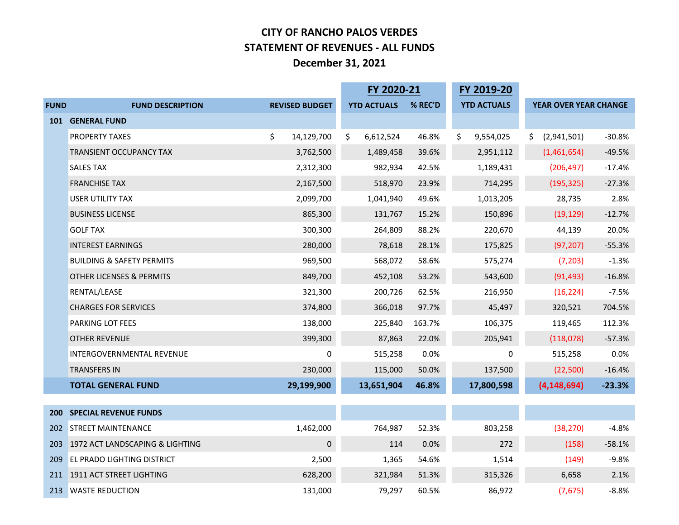## **CITY OF RANCHO PALOS VERDES STATEMENT OF REVENUES - ALL FUNDS December 31, 2021**

|                                 |                                      |                       | FY 2020-21         |         | FY 2019-20         |                       |          |
|---------------------------------|--------------------------------------|-----------------------|--------------------|---------|--------------------|-----------------------|----------|
| <b>FUND</b>                     | <b>FUND DESCRIPTION</b>              | <b>REVISED BUDGET</b> | <b>YTD ACTUALS</b> | % REC'D | <b>YTD ACTUALS</b> | YEAR OVER YEAR CHANGE |          |
| 101<br><b>200</b><br>202<br>203 | <b>GENERAL FUND</b>                  |                       |                    |         |                    |                       |          |
|                                 | <b>PROPERTY TAXES</b>                | \$<br>14,129,700      | \$<br>6,612,524    | 46.8%   | \$<br>9,554,025    | \$<br>(2,941,501)     | $-30.8%$ |
|                                 | TRANSIENT OCCUPANCY TAX              | 3,762,500             | 1,489,458          | 39.6%   | 2,951,112          | (1,461,654)           | $-49.5%$ |
|                                 | <b>SALES TAX</b>                     | 2,312,300             | 982,934            | 42.5%   | 1,189,431          | (206, 497)            | $-17.4%$ |
|                                 | <b>FRANCHISE TAX</b>                 | 2,167,500             | 518,970            | 23.9%   | 714,295            | (195, 325)            | $-27.3%$ |
|                                 | USER UTILITY TAX                     | 2,099,700             | 1,041,940          | 49.6%   | 1,013,205          | 28,735                | 2.8%     |
|                                 | <b>BUSINESS LICENSE</b>              | 865,300               | 131,767            | 15.2%   | 150,896            | (19, 129)             | $-12.7%$ |
|                                 | <b>GOLF TAX</b>                      | 300,300               | 264,809            | 88.2%   | 220,670            | 44,139                | 20.0%    |
|                                 | <b>INTEREST EARNINGS</b>             | 280,000               | 78,618             | 28.1%   | 175,825            | (97, 207)             | $-55.3%$ |
|                                 | <b>BUILDING &amp; SAFETY PERMITS</b> | 969,500               | 568,072            | 58.6%   | 575,274            | (7, 203)              | $-1.3%$  |
|                                 | <b>OTHER LICENSES &amp; PERMITS</b>  | 849,700               | 452,108            | 53.2%   | 543,600            | (91, 493)             | $-16.8%$ |
|                                 | RENTAL/LEASE                         | 321,300               | 200,726            | 62.5%   | 216,950            | (16, 224)             | $-7.5%$  |
|                                 | <b>CHARGES FOR SERVICES</b>          | 374,800               | 366,018            | 97.7%   | 45,497             | 320,521               | 704.5%   |
|                                 | PARKING LOT FEES                     | 138,000               | 225,840            | 163.7%  | 106,375            | 119,465               | 112.3%   |
|                                 | <b>OTHER REVENUE</b>                 | 399,300               | 87,863             | 22.0%   | 205,941            | (118,078)             | $-57.3%$ |
|                                 | INTERGOVERNMENTAL REVENUE            | 0                     | 515,258            | 0.0%    | 0                  | 515,258               | 0.0%     |
|                                 | <b>TRANSFERS IN</b>                  | 230,000               | 115,000            | 50.0%   | 137,500            | (22,500)              | $-16.4%$ |
|                                 | <b>TOTAL GENERAL FUND</b>            | 29,199,900            | 13,651,904         | 46.8%   | 17,800,598         | (4, 148, 694)         | $-23.3%$ |
|                                 |                                      |                       |                    |         |                    |                       |          |
|                                 | <b>SPECIAL REVENUE FUNDS</b>         |                       |                    |         |                    |                       |          |
|                                 | <b>STREET MAINTENANCE</b>            | 1,462,000             | 764,987            | 52.3%   | 803,258            | (38, 270)             | $-4.8%$  |
|                                 | 1972 ACT LANDSCAPING & LIGHTING      | 0                     | 114                | 0.0%    | 272                | (158)                 | $-58.1%$ |
| 209                             | <b>EL PRADO LIGHTING DISTRICT</b>    | 2,500                 | 1,365              | 54.6%   | 1,514              | (149)                 | $-9.8%$  |
|                                 | 211 1911 ACT STREET LIGHTING         | 628,200               | 321,984            | 51.3%   | 315,326            | 6,658                 | 2.1%     |
|                                 | 213 WASTE REDUCTION                  | 131,000               | 79,297             | 60.5%   | 86,972             | (7,675)               | $-8.8%$  |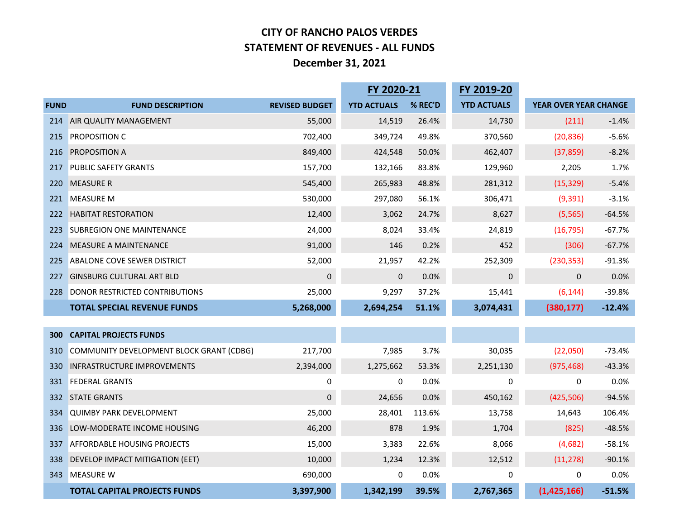## **CITY OF RANCHO PALOS VERDES STATEMENT OF REVENUES - ALL FUNDS December 31, 2021**

|             |                                          | FY 2020-21            |                    | FY 2019-20 |                    |                       |          |
|-------------|------------------------------------------|-----------------------|--------------------|------------|--------------------|-----------------------|----------|
| <b>FUND</b> | <b>FUND DESCRIPTION</b>                  | <b>REVISED BUDGET</b> | <b>YTD ACTUALS</b> | % REC'D    | <b>YTD ACTUALS</b> | YEAR OVER YEAR CHANGE |          |
| 214         | AIR QUALITY MANAGEMENT                   | 55,000                | 14,519             | 26.4%      | 14,730             | (211)                 | $-1.4%$  |
| 215         | PROPOSITION C                            | 702,400               | 349,724            | 49.8%      | 370,560            | (20, 836)             | $-5.6%$  |
| 216         | PROPOSITION A                            | 849,400               | 424,548            | 50.0%      | 462,407            | (37, 859)             | $-8.2%$  |
| 217         | <b>PUBLIC SAFETY GRANTS</b>              | 157,700               | 132,166            | 83.8%      | 129,960            | 2,205                 | 1.7%     |
| 220         | <b>MEASURE R</b>                         | 545,400               | 265,983            | 48.8%      | 281,312            | (15, 329)             | $-5.4%$  |
| 221         | <b>MEASURE M</b>                         | 530,000               | 297,080            | 56.1%      | 306,471            | (9, 391)              | $-3.1%$  |
| 222         | <b>HABITAT RESTORATION</b>               | 12,400                | 3,062              | 24.7%      | 8,627              | (5, 565)              | $-64.5%$ |
| 223         | <b>SUBREGION ONE MAINTENANCE</b>         | 24,000                | 8,024              | 33.4%      | 24,819             | (16, 795)             | $-67.7%$ |
| 224         | MEASURE A MAINTENANCE                    | 91,000                | 146                | 0.2%       | 452                | (306)                 | $-67.7%$ |
| 225         | ABALONE COVE SEWER DISTRICT              | 52,000                | 21,957             | 42.2%      | 252,309            | (230, 353)            | $-91.3%$ |
| 227         | <b>GINSBURG CULTURAL ART BLD</b>         | 0                     | $\overline{0}$     | 0.0%       | 0                  | $\Omega$              | 0.0%     |
| 228         | DONOR RESTRICTED CONTRIBUTIONS           | 25,000                | 9,297              | 37.2%      | 15,441             | (6, 144)              | $-39.8%$ |
|             | <b>TOTAL SPECIAL REVENUE FUNDS</b>       | 5,268,000             | 2,694,254          | 51.1%      | 3,074,431          | (380, 177)            | $-12.4%$ |
|             |                                          |                       |                    |            |                    |                       |          |
| 300         | <b>CAPITAL PROJECTS FUNDS</b>            |                       |                    |            |                    |                       |          |
| 310         | COMMUNITY DEVELOPMENT BLOCK GRANT (CDBG) | 217,700               | 7,985              | 3.7%       | 30,035             | (22,050)              | $-73.4%$ |
| 330         | <b>INFRASTRUCTURE IMPROVEMENTS</b>       | 2,394,000             | 1,275,662          | 53.3%      | 2,251,130          | (975, 468)            | $-43.3%$ |
| 331         | <b>FEDERAL GRANTS</b>                    | 0                     | 0                  | 0.0%       | 0                  | 0                     | 0.0%     |
| 332         | <b>STATE GRANTS</b>                      | 0                     | 24,656             | 0.0%       | 450,162            | (425, 506)            | $-94.5%$ |
| 334         | <b>QUIMBY PARK DEVELOPMENT</b>           | 25,000                | 28,401             | 113.6%     | 13,758             | 14,643                | 106.4%   |
| 336         | LOW-MODERATE INCOME HOUSING              | 46,200                | 878                | 1.9%       | 1,704              | (825)                 | $-48.5%$ |
| 337         | <b>AFFORDABLE HOUSING PROJECTS</b>       | 15,000                | 3,383              | 22.6%      | 8,066              | (4,682)               | $-58.1%$ |
| 338         | DEVELOP IMPACT MITIGATION (EET)          | 10,000                | 1,234              | 12.3%      | 12,512             | (11, 278)             | $-90.1%$ |
| 343         | <b>MEASURE W</b>                         | 690,000               | $\mathbf 0$        | 0.0%       | 0                  | 0                     | 0.0%     |
|             | <b>TOTAL CAPITAL PROJECTS FUNDS</b>      | 3,397,900             | 1,342,199          | 39.5%      | 2,767,365          | (1,425,166)           | $-51.5%$ |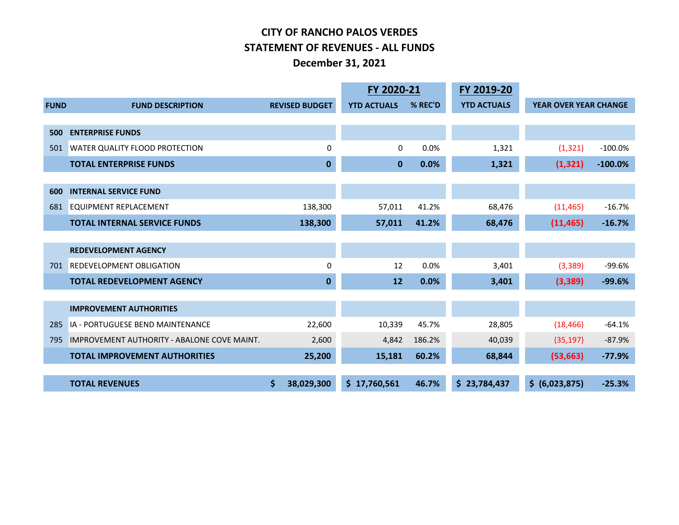## **CITY OF RANCHO PALOS VERDES STATEMENT OF REVENUES - ALL FUNDS December 31, 2021**

|             |                                                    |                       | FY 2020-21         |         | FY 2019-20         |                       |           |
|-------------|----------------------------------------------------|-----------------------|--------------------|---------|--------------------|-----------------------|-----------|
| <b>FUND</b> | <b>FUND DESCRIPTION</b>                            | <b>REVISED BUDGET</b> | <b>YTD ACTUALS</b> | % REC'D | <b>YTD ACTUALS</b> | YEAR OVER YEAR CHANGE |           |
|             |                                                    |                       |                    |         |                    |                       |           |
| 500         | <b>ENTERPRISE FUNDS</b>                            |                       |                    |         |                    |                       |           |
| 501         | WATER QUALITY FLOOD PROTECTION                     | 0                     | $\Omega$           | 0.0%    | 1,321              | (1, 321)              | $-100.0%$ |
|             | <b>TOTAL ENTERPRISE FUNDS</b>                      | 0                     | $\mathbf{0}$       | 0.0%    | 1,321              | (1, 321)              | $-100.0%$ |
|             |                                                    |                       |                    |         |                    |                       |           |
| 600         | <b>INTERNAL SERVICE FUND</b>                       |                       |                    |         |                    |                       |           |
| 681         | <b>EQUIPMENT REPLACEMENT</b>                       | 138,300               | 57,011             | 41.2%   | 68,476             | (11, 465)             | $-16.7%$  |
|             | <b>TOTAL INTERNAL SERVICE FUNDS</b>                | 138,300               | 57,011             | 41.2%   | 68,476             | (11, 465)             | $-16.7%$  |
|             |                                                    |                       |                    |         |                    |                       |           |
|             | <b>REDEVELOPMENT AGENCY</b>                        |                       |                    |         |                    |                       |           |
| 701         | <b>REDEVELOPMENT OBLIGATION</b>                    | 0                     | 12                 | 0.0%    | 3,401              | (3, 389)              | $-99.6%$  |
|             | <b>TOTAL REDEVELOPMENT AGENCY</b>                  | $\mathbf 0$           | 12                 | 0.0%    | 3,401              | (3,389)               | $-99.6%$  |
|             |                                                    |                       |                    |         |                    |                       |           |
|             | <b>IMPROVEMENT AUTHORITIES</b>                     |                       |                    |         |                    |                       |           |
| 285         | IA - PORTUGUESE BEND MAINTENANCE                   | 22,600                | 10,339             | 45.7%   | 28,805             | (18, 466)             | $-64.1%$  |
| 795         | <b>IMPROVEMENT AUTHORITY - ABALONE COVE MAINT.</b> | 2,600                 | 4,842              | 186.2%  | 40,039             | (35, 197)             | $-87.9%$  |
|             | <b>TOTAL IMPROVEMENT AUTHORITIES</b>               | 25,200                | 15,181             | 60.2%   | 68,844             | (53, 663)             | $-77.9%$  |
|             |                                                    |                       |                    |         |                    |                       |           |
|             | <b>TOTAL REVENUES</b>                              | \$<br>38,029,300      | \$17,760,561       | 46.7%   | \$23,784,437       | \$ (6,023,875)        | $-25.3%$  |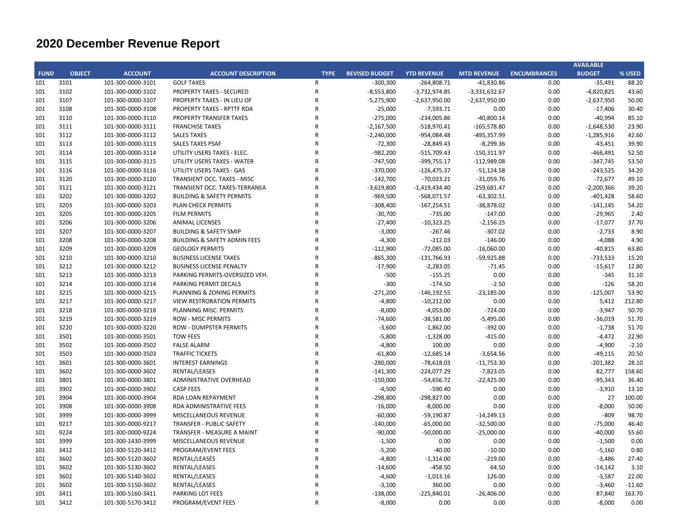|             |               |                   |                                         |                |                       |                    |                    |                     | <b>AVAILABLE</b> |          |
|-------------|---------------|-------------------|-----------------------------------------|----------------|-----------------------|--------------------|--------------------|---------------------|------------------|----------|
| <b>FUND</b> | <b>OBJECT</b> | <b>ACCOUNT</b>    | <b>ACCOUNT DESCRIPTION</b>              | <b>TYPE</b>    | <b>REVISED BUDGET</b> | <b>YTD REVENUE</b> | <b>MTD REVENUE</b> | <b>ENCUMBRANCES</b> | <b>BUDGET</b>    | % USED   |
| 101         | 3101          | 101-300-0000-3101 | <b>GOLF TAXES</b>                       | $\mathsf{R}$   | $-300,300$            | $-264,808.71$      | $-41,830.86$       | 0.00                | $-35,491$        | 88.20    |
| 101         | 3102          | 101-300-0000-3102 | <b>PROPERTY TAXES - SECURED</b>         | ${\sf R}$      | $-8,553,800$          | $-3,732,974.85$    | $-3,331,632.67$    | 0.00                | $-4,820,825$     | 43.60    |
| 101         | 3107          | 101-300-0000-3107 | PROPERTY TAXES - IN LIEU OF             | ${\sf R}$      | $-5,275,900$          | $-2,637,950.00$    | $-2,637,950.00$    | 0.00                | $-2,637,950$     | 50.00    |
| 101         | 3108          | 101-300-0000-3108 | <b>PROPERTY TAXES - RPTTF RDA</b>       | $\mathsf{R}$   | $-25,000$             | $-7,593.71$        | 0.00               | 0.00                | $-17,406$        | 30.40    |
| 101         | 3110          | 101-300-0000-3110 | PROPERTY TRANSFER TAXES                 | $\mathsf{R}$   | $-275,000$            | $-234,005.86$      | $-40,800.14$       | 0.00                | $-40,994$        | 85.10    |
| 101         | 3111          | 101-300-0000-3111 | <b>FRANCHISE TAXES</b>                  | $\mathsf{R}$   | $-2,167,500$          | $-518,970.41$      | $-165,578.80$      | 0.00                | $-1,648,530$     | 23.90    |
| 101         | 3112          | 101-300-0000-3112 | <b>SALES TAXES</b>                      | $\mathsf{R}$   | $-2,240,000$          | -954,084.48        | -495,357.99        | 0.00                | $-1,285,916$     | 42.60    |
| 101         | 3113          | 101-300-0000-3113 | <b>SALES TAXES PSAF</b>                 | $\mathsf{R}$   | $-72,300$             | $-28,849.43$       | $-8,299.36$        | 0.00                | $-43,451$        | 39.90    |
| 101         | 3114          | 101-300-0000-3114 | UTILITY USERS TAXES - ELEC.             | $\mathsf{R}$   | $-982,200$            | $-515,709.43$      | $-150,311.97$      | 0.00                | $-466,491$       | 52.50    |
| 101         | 3115          | 101-300-0000-3115 | UTILITY USERS TAXES - WATER             | $\mathsf{R}$   | $-747,500$            | $-399,755.17$      | $-112,989.08$      | 0.00                | $-347,745$       | 53.50    |
| 101         | 3116          | 101-300-0000-3116 | UTILITY USERS TAXES - GAS               | ${\sf R}$      | $-370,000$            | $-126,475.37$      | $-51,124.58$       | 0.00                | $-243,525$       | 34.20    |
| 101         | 3120          | 101-300-0000-3120 | TRANSIENT OCC. TAXES - MISC             | $\overline{R}$ | $-142,700$            | $-70,023.21$       | $-31,059.76$       | 0.00                | $-72,677$        | 49.10    |
| 101         | 3121          | 101-300-0000-3121 | TRANSIENT OCC. TAXES-TERRANEA           | $\mathsf{R}$   | $-3,619,800$          | $-1,419,434.40$    | $-259,681.47$      | 0.00                | $-2,200,366$     | 39.20    |
| 101         | 3202          | 101-300-0000-3202 | <b>BUILDING &amp; SAFETY PERMITS</b>    | $\mathsf{R}$   | $-969,500$            | $-568,071.57$      | $-63,302.51$       | 0.00                | $-401,428$       | 58.60    |
| 101         | 3203          | 101-300-0000-3203 | PLAN CHECK PERMITS                      | $\mathsf{R}$   | $-308,400$            | $-167,254.51$      | $-38,878.02$       | 0.00                | $-141,145$       | 54.20    |
| 101         | 3205          | 101-300-0000-3205 | <b>FILM PERMITS</b>                     | $\mathsf{R}$   | $-30,700$             | $-735.00$          | $-147.00$          | 0.00                | $-29,965$        | 2.40     |
| 101         | 3206          | 101-300-0000-3206 | <b>ANIMAL LICENSES</b>                  | $\mathsf{R}$   | $-27,400$             | $-10,323.25$       | $-2,156.25$        | 0.00                | $-17,077$        | 37.70    |
| 101         | 3207          | 101-300-0000-3207 | <b>BUILDING &amp; SAFETY SMIP</b>       | $\mathsf{R}$   | $-3,000$              | $-267.46$          | $-307.02$          | 0.00                | $-2,733$         | 8.90     |
| 101         | 3208          | 101-300-0000-3208 | <b>BUILDING &amp; SAFETY ADMIN FEES</b> | $\mathsf{R}$   | $-4,300$              | $-212.03$          | $-146.00$          | 0.00                | $-4,088$         | 4.90     |
| 101         | 3209          | 101-300-0000-3209 | <b>GEOLOGY PERMITS</b>                  | $\mathsf{R}$   | $-112,900$            | $-72,085.00$       | $-16,060.00$       | 0.00                | $-40,815$        | 63.80    |
| 101         | 3210          | 101-300-0000-3210 | <b>BUSINESS LICENSE TAXES</b>           | $\mathsf{R}$   | $-865,300$            | $-131,766.93$      | $-59,925.88$       | 0.00                | $-733,533$       | 15.20    |
| 101         | 3212          | 101-300-0000-3212 | <b>BUSINESS LICENSE PENALTY</b>         | $\mathsf{R}$   | $-17,900$             | $-2,283.05$        | $-71.45$           | 0.00                | $-15,617$        | 12.80    |
| 101         | 3213          | 101-300-0000-3213 | PARKING PERMITS-OVERSIZED VEH.          | $\mathsf{R}$   | $-500$                | $-155.25$          | 0.00               | 0.00                | $-345$           | 31.10    |
| 101         | 3214          | 101-300-0000-3214 | PARKING PERMIT DECALS                   | $\mathsf{R}$   | $-300$                | $-174.50$          | $-2.50$            | 0.00                | $-126$           | 58.20    |
| 101         | 3215          | 101-300-0000-3215 | PLANNING & ZONING PERMITS               | $\mathsf{R}$   | $-271,200$            | $-146, 192.55$     | $-23,185.00$       | 0.00                | $-125,007$       | 53.90    |
| 101         | 3217          | 101-300-0000-3217 | <b>VIEW RESTRORATION PERMITS</b>        | $\mathsf{R}$   | $-4,800$              | $-10,212.00$       | 0.00               | 0.00                | 5,412            | 212.80   |
| 101         | 3218          | 101-300-0000-3218 | PLANNING MISC. PERMITS                  | $\mathsf{R}$   | $-8,000$              | $-4,053.00$        | $-724.00$          | 0.00                | $-3,947$         | 50.70    |
| 101         | 3219          | 101-300-0000-3219 | <b>ROW - MISC PERMITS</b>               | $\mathsf{R}$   | $-74,600$             | $-38,581.00$       | $-5,495.00$        | 0.00                | $-36,019$        | 51.70    |
| 101         | 3220          | 101-300-0000-3220 | <b>ROW - DUMPSTER PERMITS</b>           | $\mathsf{R}$   | $-3,600$              | $-1,862.00$        | $-392.00$          | 0.00                | $-1,738$         | 51.70    |
| 101         | 3501          | 101-300-0000-3501 | <b>TOW FEES</b>                         | $\overline{R}$ | $-5,800$              | $-1,328.00$        | $-415.00$          | 0.00                | $-4,472$         | 22.90    |
| 101         | 3502          | 101-300-0000-3502 | <b>FALSE ALARM</b>                      | $\mathsf{R}$   | $-4,800$              | 100.00             | 0.00               | 0.00                | $-4,900$         | $-2.10$  |
| 101         | 3503          | 101-300-0000-3503 | <b>TRAFFIC TICKETS</b>                  | $\mathsf{R}$   | $-61,800$             | $-12,685.14$       | $-3,654.56$        | 0.00                | $-49,115$        | 20.50    |
| 101         | 3601          | 101-300-0000-3601 | <b>INTEREST EARNINGS</b>                | $\mathsf{R}$   | $-280,000$            | $-78,618.03$       | $-11,753.30$       | 0.00                | $-201,382$       | 28.10    |
| 101         | 3602          | 101-300-0000-3602 | RENTAL/LEASES                           | $\mathsf{R}$   | $-141,300$            | $-224,077.29$      | $-7,823.05$        | 0.00                | 82,777           | 158.60   |
| 101         | 3801          | 101-300-0000-3801 | ADMINISTRATIVE OVERHEAD                 | $\mathsf{R}$   | $-150,000$            | $-54,656.72$       | $-22,425.00$       | 0.00                | $-95,343$        | 36.40    |
| 101         | 3902          | 101-300-0000-3902 | <b>CASP FEES</b>                        | $\mathsf{R}$   | $-4,500$              | $-590.40$          | 0.00               | 0.00                | $-3,910$         | 13.10    |
| 101         | 3904          | 101-300-0000-3904 | RDA LOAN REPAYMENT                      | $\mathsf{R}$   | $-298,800$            | $-298,827.00$      | 0.00               | 0.00                | 27               | 100.00   |
| 101         | 3908          | 101-300-0000-3908 | RDA ADMINISTRATIVE FEES                 | $\mathsf{R}$   | $-16,000$             | $-8,000.00$        | 0.00               | 0.00                | $-8,000$         | 50.00    |
| 101         | 3999          | 101-300-0000-3999 | MISCELLANEOUS REVENUE                   | $\overline{R}$ | $-60,000$             | $-59,190.87$       | $-14,249.13$       | 0.00                | $-809$           | 98.70    |
| 101         | 9217          | 101-300-0000-9217 | TRANSFER - PUBLIC SAFETY                | $\mathsf{R}$   | $-140,000$            | $-65,000.00$       | $-32,500.00$       | 0.00                | $-75,000$        | 46.40    |
| 101         | 9224          | 101-300-0000-9224 | TRANSFER - MEASURE A MAINT              | $\mathsf{R}$   | $-90,000$             | $-50,000.00$       | $-25,000.00$       | 0.00                | $-40,000$        | 55.60    |
| 101         | 3999          | 101-300-1430-3999 | MISCELLANEOUS REVENUE                   | $\mathsf{R}$   | $-1,500$              | 0.00               | 0.00               | 0.00                | $-1,500$         | 0.00     |
| 101         | 3412          | 101-300-5120-3412 | PROGRAM/EVENT FEES                      | $\mathsf{R}$   | $-5,200$              | $-40.00$           | $-10.00$           | 0.00                | $-5,160$         | 0.80     |
| 101         | 3602          | 101-300-5120-3602 | RENTAL/LEASES                           | $\mathsf{R}$   | $-4,800$              | $-1,314.00$        | $-219.00$          | 0.00                | $-3,486$         | 27.40    |
| 101         | 3602          | 101-300-5130-3602 | RENTAL/LEASES                           | $\overline{R}$ | $-14,600$             | -458.50            | 64.50              | 0.00                | $-14,142$        | 3.10     |
| 101         | 3602          | 101-300-5140-3602 | RENTAL/LEASES                           | $\mathsf{R}$   | $-4,600$              | $-1,013.16$        | 126.00             | 0.00                | $-3,587$         | 22.00    |
| 101         | 3602          | 101-300-5150-3602 | RENTAL/LEASES                           | $\mathsf{R}$   | $-3,100$              | 360.00             | 0.00               | 0.00                | $-3,460$         | $-11.60$ |
| 101         | 3411          | 101-300-5160-3411 | <b>PARKING LOT FEES</b>                 | $\mathsf{R}$   | $-138,000$            | $-225,840.01$      | $-26,406.00$       | 0.00                | 87,840           | 163.70   |
| 101         | 3412          | 101-300-5170-3412 | PROGRAM/EVENT FEES                      | $\mathsf{R}$   | $-8,000$              | 0.00               | 0.00               | 0.00                | $-8,000$         | 0.00     |
|             |               |                   |                                         |                |                       |                    |                    |                     |                  |          |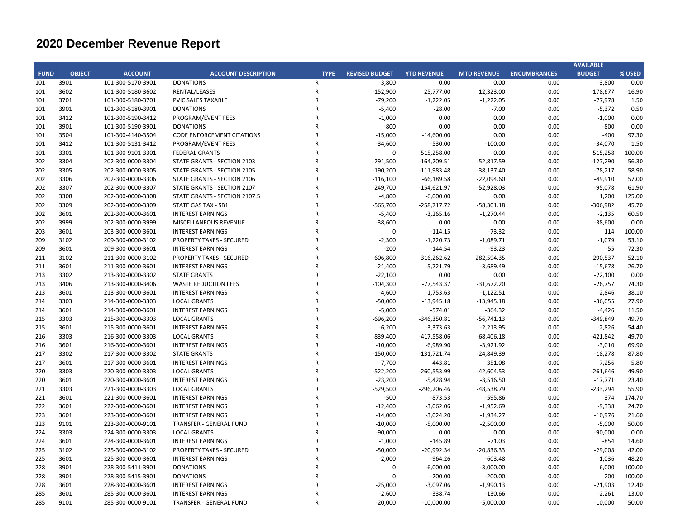|             |               |                   |                                   |              |                       |                    |                    |                     | <b>AVAILABLE</b> |          |
|-------------|---------------|-------------------|-----------------------------------|--------------|-----------------------|--------------------|--------------------|---------------------|------------------|----------|
| <b>FUND</b> | <b>OBJECT</b> | <b>ACCOUNT</b>    | <b>ACCOUNT DESCRIPTION</b>        | <b>TYPE</b>  | <b>REVISED BUDGET</b> | <b>YTD REVENUE</b> | <b>MTD REVENUE</b> | <b>ENCUMBRANCES</b> | <b>BUDGET</b>    | % USED   |
| 101         | 3901          | 101-300-5170-3901 | <b>DONATIONS</b>                  | $\mathsf{R}$ | $-3,800$              | 0.00               | 0.00               | 0.00                | $-3,800$         | 0.00     |
| 101         | 3602          | 101-300-5180-3602 | RENTAL/LEASES                     | $\mathsf R$  | $-152,900$            | 25,777.00          | 12,323.00          | 0.00                | $-178,677$       | $-16.90$ |
| 101         | 3701          | 101-300-5180-3701 | <b>PVIC SALES TAXABLE</b>         | $\mathsf{R}$ | $-79,200$             | $-1,222.05$        | $-1,222.05$        | 0.00                | $-77,978$        | 1.50     |
| 101         | 3901          | 101-300-5180-3901 | <b>DONATIONS</b>                  | $\mathsf{R}$ | $-5,400$              | $-28.00$           | $-7.00$            | 0.00                | $-5,372$         | 0.50     |
| 101         | 3412          | 101-300-5190-3412 | PROGRAM/EVENT FEES                | $\mathsf{R}$ | $-1,000$              | 0.00               | 0.00               | 0.00                | $-1,000$         | 0.00     |
| 101         | 3901          | 101-300-5190-3901 | <b>DONATIONS</b>                  | $\mathsf{R}$ | $-800$                | 0.00               | 0.00               | 0.00                | $-800$           | 0.00     |
| 101         | 3504          | 101-300-4140-3504 | <b>CODE ENFORCEMENT CITATIONS</b> | $\mathsf{R}$ | $-15,000$             | $-14,600.00$       | 0.00               | 0.00                | $-400$           | 97.30    |
| 101         | 3412          | 101-300-5131-3412 | PROGRAM/EVENT FEES                | $\mathsf{R}$ | $-34,600$             | $-530.00$          | $-100.00$          | 0.00                | $-34,070$        | 1.50     |
| 101         | 3301          | 101-300-9101-3301 | <b>FEDERAL GRANTS</b>             | $\mathsf{R}$ | $\Omega$              | $-515,258.00$      | 0.00               | 0.00                | 515,258          | 100.00   |
| 202         | 3304          | 202-300-0000-3304 | STATE GRANTS - SECTION 2103       | $\mathsf{R}$ | $-291,500$            | $-164,209.51$      | $-52,817.59$       | 0.00                | $-127,290$       | 56.30    |
| 202         | 3305          | 202-300-0000-3305 | STATE GRANTS - SECTION 2105       | $\mathsf{R}$ | $-190,200$            | $-111,983.48$      | $-38,137.40$       | 0.00                | $-78,217$        | 58.90    |
| 202         | 3306          | 202-300-0000-3306 | STATE GRANTS - SECTION 2106       | $\mathsf{R}$ | $-116,100$            | $-66,189.58$       | $-22,094.60$       | 0.00                | $-49,910$        | 57.00    |
| 202         | 3307          | 202-300-0000-3307 | STATE GRANTS - SECTION 2107       | $\mathsf{R}$ | $-249,700$            | $-154,621.97$      | $-52,928.03$       | 0.00                | $-95,078$        | 61.90    |
| 202         | 3308          | 202-300-0000-3308 | STATE GRANTS - SECTION 2107.5     | $\mathsf{R}$ | $-4,800$              | $-6,000.00$        | 0.00               | 0.00                | 1,200            | 125.00   |
| 202         | 3309          | 202-300-0000-3309 | STATE GAS TAX - SB1               | $\mathsf{R}$ | $-565,700$            | $-258,717.72$      | $-58,301.18$       | 0.00                | $-306,982$       | 45.70    |
| 202         | 3601          | 202-300-0000-3601 | <b>INTEREST EARNINGS</b>          | $\mathsf{R}$ | $-5,400$              | $-3,265.16$        | $-1,270.44$        | 0.00                | $-2,135$         | 60.50    |
| 202         | 3999          | 202-300-0000-3999 | MISCELLANEOUS REVENUE             | $\mathsf{R}$ | $-38,600$             | 0.00               | 0.00               | 0.00                | $-38,600$        | 0.00     |
| 203         | 3601          | 203-300-0000-3601 | <b>INTEREST EARNINGS</b>          | $\mathsf{R}$ | $\Omega$              | $-114.15$          | $-73.32$           | 0.00                | 114              | 100.00   |
| 209         | 3102          | 209-300-0000-3102 | <b>PROPERTY TAXES - SECURED</b>   | $\mathsf{R}$ | $-2,300$              | $-1,220.73$        | $-1,089.71$        | 0.00                | $-1,079$         | 53.10    |
| 209         | 3601          | 209-300-0000-3601 | <b>INTEREST EARNINGS</b>          | $\mathsf{R}$ | $-200$                | $-144.54$          | $-93.23$           | 0.00                | $-55$            | 72.30    |
| 211         | 3102          | 211-300-0000-3102 | <b>PROPERTY TAXES - SECURED</b>   | $\mathsf{R}$ | $-606,800$            | $-316,262.62$      | $-282,594.35$      | 0.00                | $-290,537$       | 52.10    |
| 211         | 3601          | 211-300-0000-3601 | <b>INTEREST EARNINGS</b>          | $\mathsf{R}$ | $-21,400$             | $-5,721.79$        | $-3,689.49$        | 0.00                | $-15,678$        | 26.70    |
| 213         | 3302          | 213-300-0000-3302 | <b>STATE GRANTS</b>               | $\mathsf{R}$ | $-22,100$             | 0.00               | 0.00               | 0.00                | $-22,100$        | 0.00     |
| 213         | 3406          | 213-300-0000-3406 | <b>WASTE REDUCTION FEES</b>       | $\mathsf{R}$ | $-104,300$            | $-77,543.37$       | $-31,672.20$       | 0.00                | $-26,757$        | 74.30    |
| 213         | 3601          | 213-300-0000-3601 | <b>INTEREST EARNINGS</b>          | $\mathsf{R}$ | $-4,600$              | $-1,753.63$        | $-1,122.51$        | 0.00                | $-2,846$         | 38.10    |
| 214         | 3303          | 214-300-0000-3303 | <b>LOCAL GRANTS</b>               | $\mathsf{R}$ | $-50,000$             | $-13,945.18$       | $-13,945.18$       | 0.00                | $-36,055$        | 27.90    |
| 214         | 3601          | 214-300-0000-3601 | <b>INTEREST EARNINGS</b>          | $\mathsf{R}$ | $-5,000$              | $-574.01$          | $-364.32$          | 0.00                | $-4,426$         | 11.50    |
| 215         | 3303          | 215-300-0000-3303 | <b>LOCAL GRANTS</b>               | $\mathsf{R}$ | $-696,200$            | $-346,350.81$      | $-56,741.13$       | 0.00                | $-349,849$       | 49.70    |
| 215         | 3601          | 215-300-0000-3601 | <b>INTEREST EARNINGS</b>          | $\mathsf{R}$ | $-6,200$              | $-3,373.63$        | $-2,213.95$        | 0.00                | $-2,826$         | 54.40    |
| 216         | 3303          | 216-300-0000-3303 | <b>LOCAL GRANTS</b>               | $\mathsf{R}$ | $-839,400$            | $-417,558.06$      | $-68,406.18$       | 0.00                | $-421,842$       | 49.70    |
| 216         | 3601          | 216-300-0000-3601 | <b>INTEREST EARNINGS</b>          | $\mathsf{R}$ | $-10,000$             | $-6,989.90$        | $-3,921.92$        | 0.00                | $-3,010$         | 69.90    |
| 217         | 3302          | 217-300-0000-3302 | <b>STATE GRANTS</b>               | $\mathsf{R}$ | $-150,000$            | $-131,721.74$      | $-24,849.39$       | 0.00                | $-18,278$        | 87.80    |
| 217         | 3601          | 217-300-0000-3601 | <b>INTEREST EARNINGS</b>          | $\mathsf{R}$ | $-7,700$              | $-443.81$          | $-351.08$          | 0.00                | $-7,256$         | 5.80     |
| 220         | 3303          | 220-300-0000-3303 | <b>LOCAL GRANTS</b>               | $\mathsf{R}$ | $-522,200$            | $-260,553.99$      | $-42,604.53$       | 0.00                | $-261,646$       | 49.90    |
| 220         | 3601          | 220-300-0000-3601 | <b>INTEREST EARNINGS</b>          | $\mathsf{R}$ | $-23,200$             | $-5,428.94$        | $-3,516.50$        | 0.00                | $-17,771$        | 23.40    |
| 221         | 3303          | 221-300-0000-3303 | <b>LOCAL GRANTS</b>               | $\mathsf{R}$ | $-529,500$            | $-296,206.46$      | -48,538.79         | 0.00                | $-233,294$       | 55.90    |
| 221         | 3601          | 221-300-0000-3601 | <b>INTEREST EARNINGS</b>          | $\mathsf{R}$ | $-500$                | $-873.53$          | $-595.86$          | 0.00                | 374              | 174.70   |
| 222         | 3601          | 222-300-0000-3601 | <b>INTEREST EARNINGS</b>          | $\mathsf{R}$ | $-12,400$             | $-3,062.06$        | $-1,952.69$        | 0.00                | $-9,338$         | 24.70    |
| 223         | 3601          | 223-300-0000-3601 | <b>INTEREST EARNINGS</b>          | $\mathsf{R}$ | $-14,000$             | $-3,024.20$        | $-1,934.27$        | 0.00                | $-10,976$        | 21.60    |
| 223         | 9101          | 223-300-0000-9101 | TRANSFER - GENERAL FUND           | $\mathsf{R}$ | $-10,000$             | $-5,000.00$        | $-2,500.00$        | 0.00                | $-5,000$         | 50.00    |
| 224         | 3303          | 224-300-0000-3303 | <b>LOCAL GRANTS</b>               | $\mathsf{R}$ | $-90,000$             | 0.00               | 0.00               | 0.00                | $-90,000$        | 0.00     |
| 224         | 3601          | 224-300-0000-3601 | <b>INTEREST EARNINGS</b>          | $\mathsf{R}$ | $-1,000$              | $-145.89$          | $-71.03$           | 0.00                | $-854$           | 14.60    |
| 225         | 3102          | 225-300-0000-3102 | <b>PROPERTY TAXES - SECURED</b>   | $\mathsf{R}$ | $-50,000$             | $-20,992.34$       | $-20,836.33$       | 0.00                | $-29,008$        | 42.00    |
| 225         | 3601          | 225-300-0000-3601 | <b>INTEREST EARNINGS</b>          | $\mathsf{R}$ | $-2,000$              | $-964.26$          | $-603.48$          | 0.00                | $-1,036$         | 48.20    |
| 228         | 3901          | 228-300-5411-3901 | <b>DONATIONS</b>                  | $\mathsf{R}$ | 0                     | $-6,000.00$        | $-3,000.00$        | 0.00                | 6,000            | 100.00   |
| 228         | 3901          | 228-300-5415-3901 | <b>DONATIONS</b>                  | $\mathsf{R}$ | 0                     | $-200.00$          | $-200.00$          | 0.00                | 200              | 100.00   |
| 228         | 3601          | 228-300-0000-3601 | <b>INTEREST EARNINGS</b>          | $\mathsf{R}$ | $-25,000$             | $-3,097.06$        | $-1,990.13$        | 0.00                | $-21,903$        | 12.40    |
| 285         | 3601          | 285-300-0000-3601 | <b>INTEREST EARNINGS</b>          | $\mathsf{R}$ | $-2,600$              | $-338.74$          | $-130.66$          | 0.00                | $-2,261$         | 13.00    |
| 285         | 9101          | 285-300-0000-9101 | <b>TRANSFER - GENERAL FUND</b>    | ${\sf R}$    | $-20,000$             | $-10,000.00$       | $-5,000.00$        | 0.00                | $-10,000$        | 50.00    |
|             |               |                   |                                   |              |                       |                    |                    |                     |                  |          |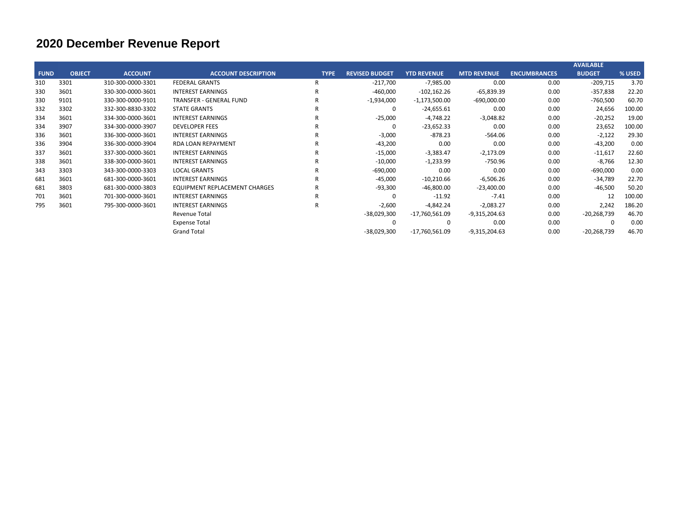|               |                   |                                |              |                       |                    |                    |                     | <b>AVAILABLE</b>                                    |        |
|---------------|-------------------|--------------------------------|--------------|-----------------------|--------------------|--------------------|---------------------|-----------------------------------------------------|--------|
| <b>OBJECT</b> | <b>ACCOUNT</b>    | <b>ACCOUNT DESCRIPTION</b>     | <b>TYPE</b>  | <b>REVISED BUDGET</b> | <b>YTD REVENUE</b> | <b>MTD REVENUE</b> | <b>ENCUMBRANCES</b> | <b>BUDGET</b>                                       | % USED |
| 3301          | 310-300-0000-3301 | <b>FEDERAL GRANTS</b>          | R            | $-217,700$            | $-7,985.00$        | 0.00               | 0.00                | $-209,715$                                          | 3.70   |
| 3601          | 330-300-0000-3601 | <b>INTEREST EARNINGS</b>       | R            | $-460,000$            | $-102,162.26$      | $-65,839.39$       | 0.00                | $-357,838$                                          | 22.20  |
| 9101          | 330-300-0000-9101 | <b>TRANSFER - GENERAL FUND</b> | R            | $-1,934,000$          | $-1,173,500.00$    | $-690,000.00$      | 0.00                | $-760,500$                                          | 60.70  |
| 3302          | 332-300-8830-3302 | <b>STATE GRANTS</b>            | R            | 0                     | $-24,655.61$       | 0.00               | 0.00                | 24,656                                              | 100.00 |
| 3601          | 334-300-0000-3601 | <b>INTEREST EARNINGS</b>       | R            | $-25,000$             | $-4,748.22$        | $-3,048.82$        | 0.00                | $-20,252$                                           | 19.00  |
| 3907          | 334-300-0000-3907 | <b>DEVELOPER FEES</b>          | R            | 0                     | $-23,652.33$       | 0.00               | 0.00                | 23,652                                              | 100.00 |
| 3601          | 336-300-0000-3601 | <b>INTEREST EARNINGS</b>       | R            | $-3,000$              | $-878.23$          |                    | 0.00                | $-2,122$                                            | 29.30  |
| 3904          | 336-300-0000-3904 | <b>RDA LOAN REPAYMENT</b>      | $\mathsf{R}$ | $-43,200$             | 0.00               | 0.00               | 0.00                | $-43,200$                                           | 0.00   |
| 3601          | 337-300-0000-3601 | <b>INTEREST EARNINGS</b>       | R            | $-15,000$             | $-3,383.47$        | $-2,173.09$        | 0.00                | $-11,617$                                           | 22.60  |
| 3601          | 338-300-0000-3601 | <b>INTEREST EARNINGS</b>       | $\mathsf{R}$ | $-10,000$             | $-1,233.99$        |                    | 0.00                | $-8,766$                                            | 12.30  |
| 3303          | 343-300-0000-3303 | <b>LOCAL GRANTS</b>            | $\mathsf{R}$ | $-690,000$            | 0.00               | 0.00               | 0.00                | $-690,000$                                          | 0.00   |
| 3601          | 681-300-0000-3601 | <b>INTEREST EARNINGS</b>       | $\mathsf{R}$ | $-45,000$             | $-10,210.66$       |                    | 0.00                | $-34,789$                                           | 22.70  |
| 3803          | 681-300-0000-3803 | EQUIPMENT REPLACEMENT CHARGES  | R            | $-93,300$             | $-46,800.00$       |                    | 0.00                | $-46,500$                                           | 50.20  |
| 3601          | 701-300-0000-3601 | <b>INTEREST EARNINGS</b>       | R            | 0                     | $-11.92$           | $-7.41$            | 0.00                | 12                                                  | 100.00 |
| 3601          | 795-300-0000-3601 | <b>INTEREST EARNINGS</b>       | $\mathsf{R}$ | $-2,600$              | $-4,842.24$        | $-2,083.27$        | 0.00                | 2,242                                               | 186.20 |
|               |                   | Revenue Total                  |              | -38,029,300           | $-17,760,561.09$   | $-9,315,204.63$    | 0.00                | $-20,268,739$                                       | 46.70  |
|               |                   | <b>Expense Total</b>           |              | 0                     | 0                  | 0.00               | 0.00                |                                                     | 0.00   |
|               |                   | <b>Grand Total</b>             |              | -38,029,300           | -17,760,561.09     | -9,315,204.63      | 0.00                | $-20,268,739$                                       | 46.70  |
|               | <b>FUND</b>       |                                |              |                       |                    |                    |                     | $-564.06$<br>-750.96<br>$-6,506.26$<br>$-23,400.00$ |        |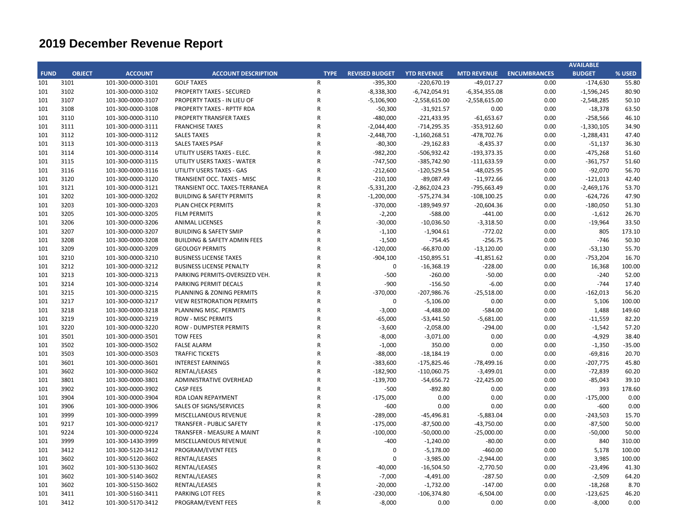|             |               |                   |                                         |                |                       |                    |                    |                     | <b>AVAILABLE</b> |          |
|-------------|---------------|-------------------|-----------------------------------------|----------------|-----------------------|--------------------|--------------------|---------------------|------------------|----------|
| <b>FUND</b> | <b>OBJECT</b> | <b>ACCOUNT</b>    | <b>ACCOUNT DESCRIPTION</b>              | <b>TYPE</b>    | <b>REVISED BUDGET</b> | <b>YTD REVENUE</b> | <b>MTD REVENUE</b> | <b>ENCUMBRANCES</b> | <b>BUDGET</b>    | % USED   |
| 101         | 3101          | 101-300-0000-3101 | <b>GOLF TAXES</b>                       | $\mathsf{R}$   | $-395,300$            | $-220,670.19$      | $-49,017.27$       | 0.00                | $-174,630$       | 55.80    |
| 101         | 3102          | 101-300-0000-3102 | PROPERTY TAXES - SECURED                | ${\sf R}$      | $-8,338,300$          | $-6,742,054.91$    | $-6,354,355.08$    | 0.00                | $-1,596,245$     | 80.90    |
| 101         | 3107          | 101-300-0000-3107 | PROPERTY TAXES - IN LIEU OF             | $\mathsf{R}$   | $-5,106,900$          | $-2,558,615.00$    | $-2,558,615.00$    | 0.00                | $-2,548,285$     | 50.10    |
| 101         | 3108          | 101-300-0000-3108 | PROPERTY TAXES - RPTTF RDA              | $\mathsf{R}$   | $-50,300$             | $-31,921.57$       | 0.00               | 0.00                | $-18,378$        | 63.50    |
| 101         | 3110          | 101-300-0000-3110 | PROPERTY TRANSFER TAXES                 | $\mathsf{R}$   | $-480,000$            | $-221,433.95$      | $-61,653.67$       | 0.00                | $-258,566$       | 46.10    |
| 101         | 3111          | 101-300-0000-3111 | <b>FRANCHISE TAXES</b>                  | $\overline{R}$ | $-2,044,400$          | $-714,295.35$      | $-353,912.60$      | 0.00                | $-1,330,105$     | 34.90    |
| 101         | 3112          | 101-300-0000-3112 | <b>SALES TAXES</b>                      | $\mathsf{R}$   | $-2,448,700$          | $-1,160,268.51$    | $-478,702.76$      | 0.00                | $-1,288,431$     | 47.40    |
| 101         | 3113          | 101-300-0000-3113 | <b>SALES TAXES PSAF</b>                 | $\overline{R}$ | $-80,300$             | $-29,162.83$       | $-8,435.37$        | 0.00                | $-51,137$        | 36.30    |
| 101         | 3114          | 101-300-0000-3114 | UTILITY USERS TAXES - ELEC.             | $\mathsf{R}$   | $-982,200$            | $-506,932.42$      | $-193,373.35$      | 0.00                | $-475,268$       | 51.60    |
| 101         | 3115          | 101-300-0000-3115 | UTILITY USERS TAXES - WATER             | $\mathsf{R}$   | $-747,500$            | -385,742.90        | $-111,633.59$      | 0.00                | $-361,757$       | 51.60    |
| 101         | 3116          | 101-300-0000-3116 | UTILITY USERS TAXES - GAS               | $\mathsf{R}$   | $-212,600$            | $-120,529.54$      | $-48,025.95$       | 0.00                | $-92,070$        | 56.70    |
| 101         | 3120          | 101-300-0000-3120 | TRANSIENT OCC. TAXES - MISC             | $\mathsf{R}$   | $-210,100$            | $-89,087.49$       | $-11,972.66$       | 0.00                | $-121,013$       | 42.40    |
| 101         | 3121          | 101-300-0000-3121 | TRANSIENT OCC. TAXES-TERRANEA           | $\mathsf{R}$   | $-5,331,200$          | $-2,862,024.23$    | -795,663.49        | 0.00                | $-2,469,176$     | 53.70    |
| 101         | 3202          | 101-300-0000-3202 | <b>BUILDING &amp; SAFETY PERMITS</b>    | $\mathsf{R}$   | $-1,200,000$          | $-575,274.34$      | $-108, 100.25$     | 0.00                | $-624,726$       | 47.90    |
| 101         | 3203          | 101-300-0000-3203 | PLAN CHECK PERMITS                      | $\mathsf{R}$   | $-370,000$            | $-189,949.97$      | $-20,604.36$       | 0.00                | $-180,050$       | 51.30    |
| 101         | 3205          | 101-300-0000-3205 | <b>FILM PERMITS</b>                     | $\mathsf{R}$   | $-2,200$              | $-588.00$          | $-441.00$          | 0.00                | $-1,612$         | 26.70    |
| 101         | 3206          | 101-300-0000-3206 | <b>ANIMAL LICENSES</b>                  | $\overline{R}$ | $-30,000$             | $-10,036.50$       | $-3,318.50$        | 0.00                | $-19,964$        | 33.50    |
| 101         | 3207          | 101-300-0000-3207 | <b>BUILDING &amp; SAFETY SMIP</b>       | $\mathsf{R}$   | $-1,100$              | $-1,904.61$        | $-772.02$          | 0.00                | 805              | 173.10   |
| 101         | 3208          | 101-300-0000-3208 | <b>BUILDING &amp; SAFETY ADMIN FEES</b> | $\overline{R}$ | $-1,500$              | $-754.45$          | $-256.75$          | 0.00                | $-746$           | 50.30    |
| 101         | 3209          | 101-300-0000-3209 | <b>GEOLOGY PERMITS</b>                  | $\mathsf{R}$   | $-120,000$            | $-66,870.00$       | $-13,120.00$       | 0.00                | $-53,130$        | 55.70    |
|             | 3210          |                   |                                         | $\mathsf{R}$   |                       |                    |                    |                     |                  | 16.70    |
| 101         |               | 101-300-0000-3210 | <b>BUSINESS LICENSE TAXES</b>           |                | $-904,100$            | $-150,895.51$      | $-41,851.62$       | 0.00                | $-753,204$       |          |
| 101         | 3212          | 101-300-0000-3212 | <b>BUSINESS LICENSE PENALTY</b>         | $\mathsf{R}$   | $\pmb{0}$             | $-16,368.19$       | $-228.00$          | 0.00                | 16,368           | 100.00   |
| 101         | 3213          | 101-300-0000-3213 | PARKING PERMITS-OVERSIZED VEH.          | $\mathsf{R}$   | $-500$                | $-260.00$          | $-50.00$           | 0.00                | $-240$           | 52.00    |
| 101         | 3214          | 101-300-0000-3214 | PARKING PERMIT DECALS                   | $\mathsf{R}$   | $-900$                | $-156.50$          | $-6.00$            | 0.00                | $-744$           | 17.40    |
| 101         | 3215          | 101-300-0000-3215 | PLANNING & ZONING PERMITS               | $\overline{R}$ | $-370,000$            | $-207,986.76$      | $-25,518.00$       | 0.00                | $-162,013$       | 56.20    |
| 101         | 3217          | 101-300-0000-3217 | <b>VIEW RESTRORATION PERMITS</b>        | $\mathsf{R}$   | 0                     | $-5,106.00$        | 0.00               | 0.00                | 5,106            | 100.00   |
| 101         | 3218          | 101-300-0000-3218 | PLANNING MISC. PERMITS                  | $\overline{R}$ | $-3,000$              | $-4,488.00$        | $-584.00$          | 0.00                | 1,488            | 149.60   |
| 101         | 3219          | 101-300-0000-3219 | <b>ROW - MISC PERMITS</b>               | $\mathsf{R}$   | $-65,000$             | $-53,441.50$       | $-5,681.00$        | 0.00                | $-11,559$        | 82.20    |
| 101         | 3220          | 101-300-0000-3220 | <b>ROW - DUMPSTER PERMITS</b>           | $\mathsf{R}$   | $-3,600$              | $-2,058.00$        | $-294.00$          | 0.00                | $-1,542$         | 57.20    |
| 101         | 3501          | 101-300-0000-3501 | <b>TOW FEES</b>                         | $\overline{R}$ | $-8,000$              | $-3,071.00$        | 0.00               | 0.00                | $-4,929$         | 38.40    |
| 101         | 3502          | 101-300-0000-3502 | <b>FALSE ALARM</b>                      | $\mathsf{R}$   | $-1,000$              | 350.00             | 0.00               | 0.00                | $-1,350$         | $-35.00$ |
| 101         | 3503          | 101-300-0000-3503 | <b>TRAFFIC TICKETS</b>                  | $\mathsf{R}$   | $-88,000$             | $-18,184.19$       | 0.00               | 0.00                | $-69,816$        | 20.70    |
| 101         | 3601          | 101-300-0000-3601 | <b>INTEREST EARNINGS</b>                | $\mathsf{R}$   | $-383,600$            | $-175,825.46$      | $-78,499.16$       | 0.00                | $-207,775$       | 45.80    |
| 101         | 3602          | 101-300-0000-3602 | RENTAL/LEASES                           | $\mathsf{R}$   | $-182,900$            | $-110,060.75$      | $-3,499.01$        | 0.00                | $-72,839$        | 60.20    |
| 101         | 3801          | 101-300-0000-3801 | ADMINISTRATIVE OVERHEAD                 | $\mathsf{R}$   | $-139,700$            | $-54,656.72$       | $-22,425.00$       | 0.00                | $-85,043$        | 39.10    |
| 101         | 3902          | 101-300-0000-3902 | <b>CASP FEES</b>                        | $\mathsf{R}$   | $-500$                | $-892.80$          | 0.00               | 0.00                | 393              | 178.60   |
| 101         | 3904          | 101-300-0000-3904 | RDA LOAN REPAYMENT                      | $\mathsf{R}$   | $-175,000$            | 0.00               | 0.00               | 0.00                | $-175,000$       | 0.00     |
| 101         | 3906          | 101-300-0000-3906 | SALES OF SIGNS/SERVICES                 | $\overline{R}$ | $-600$                | 0.00               | 0.00               | 0.00                | $-600$           | 0.00     |
| 101         | 3999          | 101-300-0000-3999 | MISCELLANEOUS REVENUE                   | $\mathsf{R}$   | $-289,000$            | $-45,496.81$       | $-5,883.04$        | 0.00                | $-243,503$       | 15.70    |
| 101         | 9217          | 101-300-0000-9217 | TRANSFER - PUBLIC SAFETY                | $\mathsf{R}$   | $-175,000$            | $-87,500.00$       | $-43,750.00$       | 0.00                | $-87,500$        | 50.00    |
| 101         | 9224          | 101-300-0000-9224 | TRANSFER - MEASURE A MAINT              | $\mathsf{R}$   | $-100,000$            | $-50,000.00$       | $-25,000.00$       | 0.00                | $-50,000$        | 50.00    |
| 101         | 3999          | 101-300-1430-3999 | MISCELLANEOUS REVENUE                   | $\mathsf{R}$   | $-400$                | $-1,240.00$        | $-80.00$           | 0.00                | 840              | 310.00   |
| 101         | 3412          | 101-300-5120-3412 | PROGRAM/EVENT FEES                      | $\mathsf R$    | 0                     | $-5,178.00$        | $-460.00$          | 0.00                | 5,178            | 100.00   |
| 101         | 3602          | 101-300-5120-3602 | RENTAL/LEASES                           | $\overline{R}$ | $\Omega$              | $-3,985.00$        | $-2,944.00$        | 0.00                | 3,985            | 100.00   |
| 101         | 3602          | 101-300-5130-3602 | RENTAL/LEASES                           | $\overline{R}$ | $-40,000$             | $-16,504.50$       | $-2,770.50$        | 0.00                | $-23,496$        | 41.30    |
| 101         | 3602          | 101-300-5140-3602 | RENTAL/LEASES                           | $\overline{R}$ | $-7,000$              | $-4,491.00$        | $-287.50$          | 0.00                | $-2,509$         | 64.20    |
| 101         | 3602          | 101-300-5150-3602 | RENTAL/LEASES                           | $\overline{R}$ | $-20,000$             | $-1,732.00$        | $-147.00$          | 0.00                | $-18,268$        | 8.70     |
| 101         | 3411          | 101-300-5160-3411 | PARKING LOT FEES                        | $\mathsf{R}$   | $-230,000$            | $-106,374.80$      | $-6,504.00$        | 0.00                | $-123,625$       | 46.20    |
| 101         | 3412          | 101-300-5170-3412 | PROGRAM/EVENT FEES                      | $\mathsf{R}$   | $-8,000$              | 0.00               | 0.00               | 0.00                | $-8,000$         | 0.00     |
|             |               |                   |                                         |                |                       |                    |                    |                     |                  |          |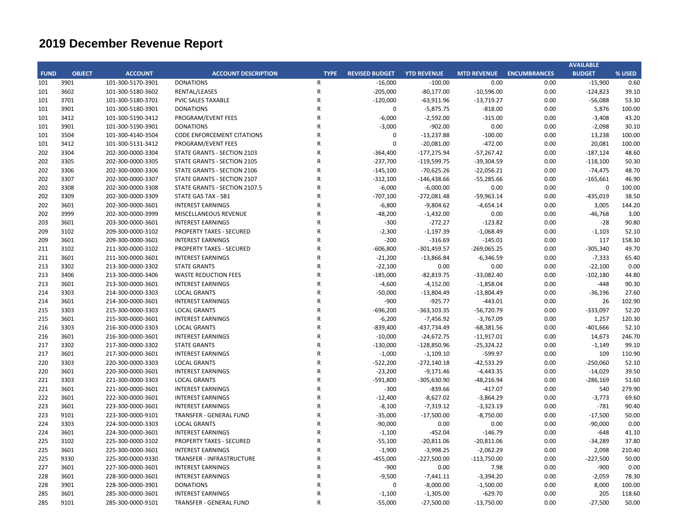| <b>BUDGET</b><br>% USED<br><b>FUND</b><br><b>OBJECT</b><br><b>ACCOUNT</b><br><b>ACCOUNT DESCRIPTION</b><br><b>TYPE</b><br><b>REVISED BUDGET</b><br><b>YTD REVENUE</b><br><b>MTD REVENUE</b><br><b>ENCUMBRANCES</b><br>3901<br>$-15,900$<br>101-300-5170-3901<br><b>DONATIONS</b><br>$\mathsf{R}$<br>$-16,000$<br>$-100.00$<br>0.00<br>0.00<br>0.60<br>3602<br>101-300-5180-3602<br>RENTAL/LEASES<br>$\mathsf R$<br>$-205,000$<br>$-80,177.00$<br>$-10,596.00$<br>0.00<br>$-124,823$<br>39.10<br>3701<br>$\mathsf{R}$<br>$-120,000$<br>0.00<br>$-56,088$<br>53.30<br>101-300-5180-3701<br>PVIC SALES TAXABLE<br>$-63,911.96$<br>$-13,719.27$<br>3901<br>101-300-5180-3901<br><b>DONATIONS</b><br>$\mathsf{R}$<br>$\mathbf 0$<br>$-5,875.75$<br>$-818.00$<br>0.00<br>5,876<br>100.00<br>3412<br>$\mathsf{R}$<br>$-6,000$<br>43.20<br>101-300-5190-3412<br>PROGRAM/EVENT FEES<br>$-2,592.00$<br>$-315.00$<br>0.00<br>$-3,408$<br>3901<br><b>DONATIONS</b><br>$\mathsf{R}$<br>$-3,000$<br>$-902.00$<br>0.00<br>0.00<br>$-2,098$<br>30.10<br>101-300-5190-3901<br>3504<br>$\mathsf{R}$<br>$-13,237.88$<br>$-100.00$<br>0.00<br>13,238<br>100.00<br>101-300-4140-3504<br><b>CODE ENFORCEMENT CITATIONS</b><br>0<br>$\Omega$<br>3412<br>101-300-5131-3412<br>PROGRAM/EVENT FEES<br>$\mathsf{R}$<br>$-20,081.00$<br>$-472.00$<br>0.00<br>20,081<br>100.00<br>$\mathsf R$<br>3304<br>$-177,275.94$<br>0.00<br>48.60<br>202-300-0000-3304<br>STATE GRANTS - SECTION 2103<br>$-364,400$<br>$-57,267.42$<br>$-187,124$<br>3305<br>$\mathsf R$<br>$-119,599.75$<br>0.00<br>202-300-0000-3305<br>STATE GRANTS - SECTION 2105<br>$-237,700$<br>$-39,304.59$<br>$-118,100$<br>50.30<br>3306<br>$\mathsf R$<br>0.00<br>202-300-0000-3306<br>$-145,100$<br>$-70,625.26$<br>$-22,056.21$<br>$-74,475$<br>48.70<br>STATE GRANTS - SECTION 2106<br>3307<br>$\mathsf R$<br>202-300-0000-3307<br>$-312,100$<br>$-146,438.66$<br>$-55,285.66$<br>0.00<br>46.90<br>STATE GRANTS - SECTION 2107<br>$-165,661$<br>3308<br>$\mathsf{R}$<br>$-6,000$<br>$-6,000.00$<br>0.00<br>0.00<br>100.00<br>202-300-0000-3308<br>STATE GRANTS - SECTION 2107.5<br>$\boldsymbol{0}$<br>3309<br>202-300-0000-3309<br><b>STATE GAS TAX - SB1</b><br>$\mathsf{R}$<br>$-707,100$<br>$-272,081.48$<br>$-59,963.14$<br>0.00<br>$-435,019$<br>38.50<br>3601<br>$\mathsf R$<br>$-6,800$<br>$-4,654.14$<br>0.00<br>3,005<br>144.20<br>202-300-0000-3601<br><b>INTEREST EARNINGS</b><br>$-9,804.62$<br>3999<br>$\mathsf{R}$<br>202-300-0000-3999<br>MISCELLANEOUS REVENUE<br>$-48,200$<br>$-1,432.00$<br>0.00<br>0.00<br>$-46,768$<br>3.00<br>203<br>3601<br>203-300-0000-3601<br><b>INTEREST EARNINGS</b><br>$\mathsf{R}$<br>$-300$<br>$-272.27$<br>$-123.82$<br>0.00<br>$-28$<br>90.80<br>3102<br>$\mathsf{R}$<br>52.10<br>209<br>209-300-0000-3102<br><b>PROPERTY TAXES - SECURED</b><br>$-2,300$<br>$-1,197.39$<br>$-1,068.49$<br>0.00<br>$-1,103$<br>3601<br>$\mathsf{R}$<br>209-300-0000-3601<br><b>INTEREST EARNINGS</b><br>$-200$<br>$-316.69$<br>$-145.01$<br>0.00<br>117<br>158.30<br>3102<br>$\mathsf{R}$<br>$-606,800$<br>$-301,459.57$<br>$-269,065.25$<br>0.00<br>49.70<br>211-300-0000-3102<br>PROPERTY TAXES - SECURED<br>-305,340<br>3601<br>$\mathsf{R}$<br>$-21,200$<br>0.00<br>$-7,333$<br>211-300-0000-3601<br><b>INTEREST EARNINGS</b><br>$-13,866.84$<br>$-6,346.59$<br>65.40<br>3302<br>$\mathsf R$<br>213-300-0000-3302<br><b>STATE GRANTS</b><br>$-22,100$<br>0.00<br>0.00<br>0.00<br>$-22,100$<br>0.00<br>3406<br>213-300-0000-3406<br>$\mathsf R$<br>$-185,000$<br>$-33,082.40$<br>0.00<br>$-102,180$<br>44.80<br>213<br><b>WASTE REDUCTION FEES</b><br>$-82,819.75$<br>3601<br>213-300-0000-3601<br><b>INTEREST EARNINGS</b><br>$\mathsf{R}$<br>$-4,600$<br>$-4,152.00$<br>$-1,858.04$<br>0.00<br>$-448$<br>90.30<br>3303<br>214-300-0000-3303<br><b>LOCAL GRANTS</b><br>$\mathsf{R}$<br>$-50,000$<br>$-13,804.49$<br>$-13,804.49$<br>0.00<br>27.60<br>$-36,196$<br>3601<br>${\sf R}$<br>$-900$<br>102.90<br>214<br>214-300-0000-3601<br><b>INTEREST EARNINGS</b><br>$-925.77$<br>$-443.01$<br>0.00<br>26<br>3303<br>215-300-0000-3303<br><b>LOCAL GRANTS</b><br>$\mathsf{R}$<br>$-696,200$<br>$-363, 103.35$<br>$-56,720.79$<br>0.00<br>$-333,097$<br>52.20<br>3601<br>$\mathsf{R}$<br>120.30<br>215-300-0000-3601<br><b>INTEREST EARNINGS</b><br>$-6,200$<br>$-7,456.92$<br>$-3,767.09$<br>0.00<br>1,257<br>$\mathsf{R}$<br>3303<br>$-839,400$<br>-437,734.49<br>$-68,381.56$<br>0.00<br>$-401,666$<br>52.10<br>216-300-0000-3303<br><b>LOCAL GRANTS</b><br>$\mathsf R$<br>3601<br>$-10,000$<br>$-11,917.01$<br>0.00<br>246.70<br>216-300-0000-3601<br><b>INTEREST EARNINGS</b><br>$-24,672.75$<br>14,673<br>3302<br>$\mathsf R$<br>$-128,850.96$<br>0.00<br>99.10<br>217-300-0000-3302<br><b>STATE GRANTS</b><br>$-130,000$<br>$-25,324.22$<br>$-1,149$<br>3601<br>$\mathsf R$<br>$-1,000$<br>-599.97<br>0.00<br>217-300-0000-3601<br><b>INTEREST EARNINGS</b><br>$-1,109.10$<br>109<br>110.90<br>3303<br>220-300-0000-3303<br><b>LOCAL GRANTS</b><br>$\mathsf{R}$<br>$-522,200$<br>$-272,140.18$<br>$-42,533.29$<br>0.00<br>$-250,060$<br>52.10<br>3601<br>$\mathsf R$<br>0.00<br>39.50<br>220-300-0000-3601<br><b>INTEREST EARNINGS</b><br>$-23,200$<br>$-9,171.46$<br>$-4,443.35$<br>$-14,029$<br>3303<br>221-300-0000-3303<br><b>LOCAL GRANTS</b><br>$\mathsf{R}$<br>$-591,800$<br>$-305,630.90$<br>$-48,216.94$<br>0.00<br>$-286,169$<br>51.60<br>221<br>3601<br>221-300-0000-3601<br><b>INTEREST EARNINGS</b><br>$\mathsf{R}$<br>$-300$<br>$-839.66$<br>$-417.07$<br>0.00<br>540<br>279.90<br>3601<br>222-300-0000-3601<br><b>INTEREST EARNINGS</b><br>$\mathsf{R}$<br>$-12,400$<br>$-8,627.02$<br>$-3,864.29$<br>0.00<br>$-3,773$<br>69.60<br>223<br>3601<br>$\mathsf{R}$<br>$-8,100$<br>$-3,323.19$<br>0.00<br>$-781$<br>90.40<br>223-300-0000-3601<br><b>INTEREST EARNINGS</b><br>$-7,319.12$<br>9101<br>$\mathsf{R}$<br>$-17,500.00$<br>$-8,750.00$<br>0.00<br>50.00<br>223<br>223-300-0000-9101<br><b>TRANSFER - GENERAL FUND</b><br>$-35,000$<br>$-17,500$<br>3303<br>$\mathsf R$<br>$-90,000$<br>224-300-0000-3303<br>0.00<br>0.00<br>0.00<br>$-90,000$<br>0.00<br><b>LOCAL GRANTS</b><br>3601<br>224-300-0000-3601<br>$\mathsf{R}$<br>$-452.04$<br>$-146.79$<br>0.00<br>41.10<br>224<br><b>INTEREST EARNINGS</b><br>$-1,100$<br>$-648$<br>225<br>3102<br>225-300-0000-3102<br>$\mathsf R$<br>$-55,100$<br>0.00<br>PROPERTY TAXES - SECURED<br>$-20,811.06$<br>$-20,811.06$<br>$-34,289$<br>37.80<br>225<br>3601<br>225-300-0000-3601<br>$\mathsf{R}$<br>$-1,900$<br>$-3,998.25$<br>$-2,062.29$<br>0.00<br>2,098<br>210.40<br><b>INTEREST EARNINGS</b><br>9330<br>${\sf R}$<br>$-455,000$<br>225<br>225-300-0000-9330<br>TRANSFER - INFRASTRUCTURE<br>$-227,500.00$<br>$-113,750.00$<br>0.00<br>$-227,500$<br>50.00<br>3601<br>$\mathsf{R}$<br>$-900$<br>0.00<br>7.98<br>0.00<br>$-900$<br>0.00<br>227-300-0000-3601<br><b>INTEREST EARNINGS</b><br>3601<br>228-300-0000-3601<br>$\mathsf{R}$<br>$-9,500$<br>$-3,394.20$<br>0.00<br>$-2,059$<br>78.30<br><b>INTEREST EARNINGS</b><br>$-7,441.11$<br>100.00<br>3901<br>228-300-0000-3901<br><b>DONATIONS</b><br>$\overline{R}$<br>$\Omega$<br>$-8,000.00$<br>$-1,500.00$<br>0.00<br>8,000<br>3601<br>$\mathsf{R}$<br>$-629.70$<br>0.00<br>118.60<br>285-300-0000-3601<br><b>INTEREST EARNINGS</b><br>$-1,100$<br>$-1,305.00$<br>205<br>9101<br>$\mathsf{R}$<br>$-55,000$<br>$-27,500.00$<br>$-13,750.00$<br>0.00<br>$-27,500$<br>50.00<br>285-300-0000-9101<br>TRANSFER - GENERAL FUND |     |  |  |  |  | <b>AVAILABLE</b> |  |
|---------------------------------------------------------------------------------------------------------------------------------------------------------------------------------------------------------------------------------------------------------------------------------------------------------------------------------------------------------------------------------------------------------------------------------------------------------------------------------------------------------------------------------------------------------------------------------------------------------------------------------------------------------------------------------------------------------------------------------------------------------------------------------------------------------------------------------------------------------------------------------------------------------------------------------------------------------------------------------------------------------------------------------------------------------------------------------------------------------------------------------------------------------------------------------------------------------------------------------------------------------------------------------------------------------------------------------------------------------------------------------------------------------------------------------------------------------------------------------------------------------------------------------------------------------------------------------------------------------------------------------------------------------------------------------------------------------------------------------------------------------------------------------------------------------------------------------------------------------------------------------------------------------------------------------------------------------------------------------------------------------------------------------------------------------------------------------------------------------------------------------------------------------------------------------------------------------------------------------------------------------------------------------------------------------------------------------------------------------------------------------------------------------------------------------------------------------------------------------------------------------------------------------------------------------------------------------------------------------------------------------------------------------------------------------------------------------------------------------------------------------------------------------------------------------------------------------------------------------------------------------------------------------------------------------------------------------------------------------------------------------------------------------------------------------------------------------------------------------------------------------------------------------------------------------------------------------------------------------------------------------------------------------------------------------------------------------------------------------------------------------------------------------------------------------------------------------------------------------------------------------------------------------------------------------------------------------------------------------------------------------------------------------------------------------------------------------------------------------------------------------------------------------------------------------------------------------------------------------------------------------------------------------------------------------------------------------------------------------------------------------------------------------------------------------------------------------------------------------------------------------------------------------------------------------------------------------------------------------------------------------------------------------------------------------------------------------------------------------------------------------------------------------------------------------------------------------------------------------------------------------------------------------------------------------------------------------------------------------------------------------------------------------------------------------------------------------------------------------------------------------------------------------------------------------------------------------------------------------------------------------------------------------------------------------------------------------------------------------------------------------------------------------------------------------------------------------------------------------------------------------------------------------------------------------------------------------------------------------------------------------------------------------------------------------------------------------------------------------------------------------------------------------------------------------------------------------------------------------------------------------------------------------------------------------------------------------------------------------------------------------------------------------------------------------------------------------------------------------------------------------------------------------------------------------------------------------------------------------------------------------------------------------------------------------------------------------------------------------------------------------------------------------------------------------------------------------------------------------------------------------------------------------------------------------------------------------------------------------------------------------------------------------------------------------------------------------------------------------------------------------------------------------------------------------------------------------------------------------------------------------------------------------------------------------------------------------------------------------------------------------------------------------------------------------------------------------------------------------------------------------------------------------------------------------------------------------------------------------------------------------------------------------------------------------------------------------------------------------------------------------------------------------------------------------------------------------------------------------------------------------------------------------------------------------------------------------------------------------------------------------------------------------------------------------------------------------------------------------------------------------------------------------------------------------------------------------------------------------------------------------------------------------|-----|--|--|--|--|------------------|--|
|                                                                                                                                                                                                                                                                                                                                                                                                                                                                                                                                                                                                                                                                                                                                                                                                                                                                                                                                                                                                                                                                                                                                                                                                                                                                                                                                                                                                                                                                                                                                                                                                                                                                                                                                                                                                                                                                                                                                                                                                                                                                                                                                                                                                                                                                                                                                                                                                                                                                                                                                                                                                                                                                                                                                                                                                                                                                                                                                                                                                                                                                                                                                                                                                                                                                                                                                                                                                                                                                                                                                                                                                                                                                                                                                                                                                                                                                                                                                                                                                                                                                                                                                                                                                                                                                                                                                                                                                                                                                                                                                                                                                                                                                                                                                                                                                                                                                                                                                                                                                                                                                                                                                                                                                                                                                                                                                                                                                                                                                                                                                                                                                                                                                                                                                                                                                                                                                                                                                                                                                                                                                                                                                                                                                                                                                                                                                                                                                                                                                                                                                                                                                                                                                                                                                                                                                                                                                                                                                                                                                                                                                                                                                                                                                                                                                                                                                                                                                                                                                                                                                 |     |  |  |  |  |                  |  |
|                                                                                                                                                                                                                                                                                                                                                                                                                                                                                                                                                                                                                                                                                                                                                                                                                                                                                                                                                                                                                                                                                                                                                                                                                                                                                                                                                                                                                                                                                                                                                                                                                                                                                                                                                                                                                                                                                                                                                                                                                                                                                                                                                                                                                                                                                                                                                                                                                                                                                                                                                                                                                                                                                                                                                                                                                                                                                                                                                                                                                                                                                                                                                                                                                                                                                                                                                                                                                                                                                                                                                                                                                                                                                                                                                                                                                                                                                                                                                                                                                                                                                                                                                                                                                                                                                                                                                                                                                                                                                                                                                                                                                                                                                                                                                                                                                                                                                                                                                                                                                                                                                                                                                                                                                                                                                                                                                                                                                                                                                                                                                                                                                                                                                                                                                                                                                                                                                                                                                                                                                                                                                                                                                                                                                                                                                                                                                                                                                                                                                                                                                                                                                                                                                                                                                                                                                                                                                                                                                                                                                                                                                                                                                                                                                                                                                                                                                                                                                                                                                                                                 | 101 |  |  |  |  |                  |  |
|                                                                                                                                                                                                                                                                                                                                                                                                                                                                                                                                                                                                                                                                                                                                                                                                                                                                                                                                                                                                                                                                                                                                                                                                                                                                                                                                                                                                                                                                                                                                                                                                                                                                                                                                                                                                                                                                                                                                                                                                                                                                                                                                                                                                                                                                                                                                                                                                                                                                                                                                                                                                                                                                                                                                                                                                                                                                                                                                                                                                                                                                                                                                                                                                                                                                                                                                                                                                                                                                                                                                                                                                                                                                                                                                                                                                                                                                                                                                                                                                                                                                                                                                                                                                                                                                                                                                                                                                                                                                                                                                                                                                                                                                                                                                                                                                                                                                                                                                                                                                                                                                                                                                                                                                                                                                                                                                                                                                                                                                                                                                                                                                                                                                                                                                                                                                                                                                                                                                                                                                                                                                                                                                                                                                                                                                                                                                                                                                                                                                                                                                                                                                                                                                                                                                                                                                                                                                                                                                                                                                                                                                                                                                                                                                                                                                                                                                                                                                                                                                                                                                 | 101 |  |  |  |  |                  |  |
|                                                                                                                                                                                                                                                                                                                                                                                                                                                                                                                                                                                                                                                                                                                                                                                                                                                                                                                                                                                                                                                                                                                                                                                                                                                                                                                                                                                                                                                                                                                                                                                                                                                                                                                                                                                                                                                                                                                                                                                                                                                                                                                                                                                                                                                                                                                                                                                                                                                                                                                                                                                                                                                                                                                                                                                                                                                                                                                                                                                                                                                                                                                                                                                                                                                                                                                                                                                                                                                                                                                                                                                                                                                                                                                                                                                                                                                                                                                                                                                                                                                                                                                                                                                                                                                                                                                                                                                                                                                                                                                                                                                                                                                                                                                                                                                                                                                                                                                                                                                                                                                                                                                                                                                                                                                                                                                                                                                                                                                                                                                                                                                                                                                                                                                                                                                                                                                                                                                                                                                                                                                                                                                                                                                                                                                                                                                                                                                                                                                                                                                                                                                                                                                                                                                                                                                                                                                                                                                                                                                                                                                                                                                                                                                                                                                                                                                                                                                                                                                                                                                                 | 101 |  |  |  |  |                  |  |
|                                                                                                                                                                                                                                                                                                                                                                                                                                                                                                                                                                                                                                                                                                                                                                                                                                                                                                                                                                                                                                                                                                                                                                                                                                                                                                                                                                                                                                                                                                                                                                                                                                                                                                                                                                                                                                                                                                                                                                                                                                                                                                                                                                                                                                                                                                                                                                                                                                                                                                                                                                                                                                                                                                                                                                                                                                                                                                                                                                                                                                                                                                                                                                                                                                                                                                                                                                                                                                                                                                                                                                                                                                                                                                                                                                                                                                                                                                                                                                                                                                                                                                                                                                                                                                                                                                                                                                                                                                                                                                                                                                                                                                                                                                                                                                                                                                                                                                                                                                                                                                                                                                                                                                                                                                                                                                                                                                                                                                                                                                                                                                                                                                                                                                                                                                                                                                                                                                                                                                                                                                                                                                                                                                                                                                                                                                                                                                                                                                                                                                                                                                                                                                                                                                                                                                                                                                                                                                                                                                                                                                                                                                                                                                                                                                                                                                                                                                                                                                                                                                                                 | 101 |  |  |  |  |                  |  |
|                                                                                                                                                                                                                                                                                                                                                                                                                                                                                                                                                                                                                                                                                                                                                                                                                                                                                                                                                                                                                                                                                                                                                                                                                                                                                                                                                                                                                                                                                                                                                                                                                                                                                                                                                                                                                                                                                                                                                                                                                                                                                                                                                                                                                                                                                                                                                                                                                                                                                                                                                                                                                                                                                                                                                                                                                                                                                                                                                                                                                                                                                                                                                                                                                                                                                                                                                                                                                                                                                                                                                                                                                                                                                                                                                                                                                                                                                                                                                                                                                                                                                                                                                                                                                                                                                                                                                                                                                                                                                                                                                                                                                                                                                                                                                                                                                                                                                                                                                                                                                                                                                                                                                                                                                                                                                                                                                                                                                                                                                                                                                                                                                                                                                                                                                                                                                                                                                                                                                                                                                                                                                                                                                                                                                                                                                                                                                                                                                                                                                                                                                                                                                                                                                                                                                                                                                                                                                                                                                                                                                                                                                                                                                                                                                                                                                                                                                                                                                                                                                                                                 | 101 |  |  |  |  |                  |  |
|                                                                                                                                                                                                                                                                                                                                                                                                                                                                                                                                                                                                                                                                                                                                                                                                                                                                                                                                                                                                                                                                                                                                                                                                                                                                                                                                                                                                                                                                                                                                                                                                                                                                                                                                                                                                                                                                                                                                                                                                                                                                                                                                                                                                                                                                                                                                                                                                                                                                                                                                                                                                                                                                                                                                                                                                                                                                                                                                                                                                                                                                                                                                                                                                                                                                                                                                                                                                                                                                                                                                                                                                                                                                                                                                                                                                                                                                                                                                                                                                                                                                                                                                                                                                                                                                                                                                                                                                                                                                                                                                                                                                                                                                                                                                                                                                                                                                                                                                                                                                                                                                                                                                                                                                                                                                                                                                                                                                                                                                                                                                                                                                                                                                                                                                                                                                                                                                                                                                                                                                                                                                                                                                                                                                                                                                                                                                                                                                                                                                                                                                                                                                                                                                                                                                                                                                                                                                                                                                                                                                                                                                                                                                                                                                                                                                                                                                                                                                                                                                                                                                 | 101 |  |  |  |  |                  |  |
|                                                                                                                                                                                                                                                                                                                                                                                                                                                                                                                                                                                                                                                                                                                                                                                                                                                                                                                                                                                                                                                                                                                                                                                                                                                                                                                                                                                                                                                                                                                                                                                                                                                                                                                                                                                                                                                                                                                                                                                                                                                                                                                                                                                                                                                                                                                                                                                                                                                                                                                                                                                                                                                                                                                                                                                                                                                                                                                                                                                                                                                                                                                                                                                                                                                                                                                                                                                                                                                                                                                                                                                                                                                                                                                                                                                                                                                                                                                                                                                                                                                                                                                                                                                                                                                                                                                                                                                                                                                                                                                                                                                                                                                                                                                                                                                                                                                                                                                                                                                                                                                                                                                                                                                                                                                                                                                                                                                                                                                                                                                                                                                                                                                                                                                                                                                                                                                                                                                                                                                                                                                                                                                                                                                                                                                                                                                                                                                                                                                                                                                                                                                                                                                                                                                                                                                                                                                                                                                                                                                                                                                                                                                                                                                                                                                                                                                                                                                                                                                                                                                                 | 101 |  |  |  |  |                  |  |
|                                                                                                                                                                                                                                                                                                                                                                                                                                                                                                                                                                                                                                                                                                                                                                                                                                                                                                                                                                                                                                                                                                                                                                                                                                                                                                                                                                                                                                                                                                                                                                                                                                                                                                                                                                                                                                                                                                                                                                                                                                                                                                                                                                                                                                                                                                                                                                                                                                                                                                                                                                                                                                                                                                                                                                                                                                                                                                                                                                                                                                                                                                                                                                                                                                                                                                                                                                                                                                                                                                                                                                                                                                                                                                                                                                                                                                                                                                                                                                                                                                                                                                                                                                                                                                                                                                                                                                                                                                                                                                                                                                                                                                                                                                                                                                                                                                                                                                                                                                                                                                                                                                                                                                                                                                                                                                                                                                                                                                                                                                                                                                                                                                                                                                                                                                                                                                                                                                                                                                                                                                                                                                                                                                                                                                                                                                                                                                                                                                                                                                                                                                                                                                                                                                                                                                                                                                                                                                                                                                                                                                                                                                                                                                                                                                                                                                                                                                                                                                                                                                                                 | 101 |  |  |  |  |                  |  |
|                                                                                                                                                                                                                                                                                                                                                                                                                                                                                                                                                                                                                                                                                                                                                                                                                                                                                                                                                                                                                                                                                                                                                                                                                                                                                                                                                                                                                                                                                                                                                                                                                                                                                                                                                                                                                                                                                                                                                                                                                                                                                                                                                                                                                                                                                                                                                                                                                                                                                                                                                                                                                                                                                                                                                                                                                                                                                                                                                                                                                                                                                                                                                                                                                                                                                                                                                                                                                                                                                                                                                                                                                                                                                                                                                                                                                                                                                                                                                                                                                                                                                                                                                                                                                                                                                                                                                                                                                                                                                                                                                                                                                                                                                                                                                                                                                                                                                                                                                                                                                                                                                                                                                                                                                                                                                                                                                                                                                                                                                                                                                                                                                                                                                                                                                                                                                                                                                                                                                                                                                                                                                                                                                                                                                                                                                                                                                                                                                                                                                                                                                                                                                                                                                                                                                                                                                                                                                                                                                                                                                                                                                                                                                                                                                                                                                                                                                                                                                                                                                                                                 | 202 |  |  |  |  |                  |  |
|                                                                                                                                                                                                                                                                                                                                                                                                                                                                                                                                                                                                                                                                                                                                                                                                                                                                                                                                                                                                                                                                                                                                                                                                                                                                                                                                                                                                                                                                                                                                                                                                                                                                                                                                                                                                                                                                                                                                                                                                                                                                                                                                                                                                                                                                                                                                                                                                                                                                                                                                                                                                                                                                                                                                                                                                                                                                                                                                                                                                                                                                                                                                                                                                                                                                                                                                                                                                                                                                                                                                                                                                                                                                                                                                                                                                                                                                                                                                                                                                                                                                                                                                                                                                                                                                                                                                                                                                                                                                                                                                                                                                                                                                                                                                                                                                                                                                                                                                                                                                                                                                                                                                                                                                                                                                                                                                                                                                                                                                                                                                                                                                                                                                                                                                                                                                                                                                                                                                                                                                                                                                                                                                                                                                                                                                                                                                                                                                                                                                                                                                                                                                                                                                                                                                                                                                                                                                                                                                                                                                                                                                                                                                                                                                                                                                                                                                                                                                                                                                                                                                 | 202 |  |  |  |  |                  |  |
|                                                                                                                                                                                                                                                                                                                                                                                                                                                                                                                                                                                                                                                                                                                                                                                                                                                                                                                                                                                                                                                                                                                                                                                                                                                                                                                                                                                                                                                                                                                                                                                                                                                                                                                                                                                                                                                                                                                                                                                                                                                                                                                                                                                                                                                                                                                                                                                                                                                                                                                                                                                                                                                                                                                                                                                                                                                                                                                                                                                                                                                                                                                                                                                                                                                                                                                                                                                                                                                                                                                                                                                                                                                                                                                                                                                                                                                                                                                                                                                                                                                                                                                                                                                                                                                                                                                                                                                                                                                                                                                                                                                                                                                                                                                                                                                                                                                                                                                                                                                                                                                                                                                                                                                                                                                                                                                                                                                                                                                                                                                                                                                                                                                                                                                                                                                                                                                                                                                                                                                                                                                                                                                                                                                                                                                                                                                                                                                                                                                                                                                                                                                                                                                                                                                                                                                                                                                                                                                                                                                                                                                                                                                                                                                                                                                                                                                                                                                                                                                                                                                                 | 202 |  |  |  |  |                  |  |
|                                                                                                                                                                                                                                                                                                                                                                                                                                                                                                                                                                                                                                                                                                                                                                                                                                                                                                                                                                                                                                                                                                                                                                                                                                                                                                                                                                                                                                                                                                                                                                                                                                                                                                                                                                                                                                                                                                                                                                                                                                                                                                                                                                                                                                                                                                                                                                                                                                                                                                                                                                                                                                                                                                                                                                                                                                                                                                                                                                                                                                                                                                                                                                                                                                                                                                                                                                                                                                                                                                                                                                                                                                                                                                                                                                                                                                                                                                                                                                                                                                                                                                                                                                                                                                                                                                                                                                                                                                                                                                                                                                                                                                                                                                                                                                                                                                                                                                                                                                                                                                                                                                                                                                                                                                                                                                                                                                                                                                                                                                                                                                                                                                                                                                                                                                                                                                                                                                                                                                                                                                                                                                                                                                                                                                                                                                                                                                                                                                                                                                                                                                                                                                                                                                                                                                                                                                                                                                                                                                                                                                                                                                                                                                                                                                                                                                                                                                                                                                                                                                                                 | 202 |  |  |  |  |                  |  |
|                                                                                                                                                                                                                                                                                                                                                                                                                                                                                                                                                                                                                                                                                                                                                                                                                                                                                                                                                                                                                                                                                                                                                                                                                                                                                                                                                                                                                                                                                                                                                                                                                                                                                                                                                                                                                                                                                                                                                                                                                                                                                                                                                                                                                                                                                                                                                                                                                                                                                                                                                                                                                                                                                                                                                                                                                                                                                                                                                                                                                                                                                                                                                                                                                                                                                                                                                                                                                                                                                                                                                                                                                                                                                                                                                                                                                                                                                                                                                                                                                                                                                                                                                                                                                                                                                                                                                                                                                                                                                                                                                                                                                                                                                                                                                                                                                                                                                                                                                                                                                                                                                                                                                                                                                                                                                                                                                                                                                                                                                                                                                                                                                                                                                                                                                                                                                                                                                                                                                                                                                                                                                                                                                                                                                                                                                                                                                                                                                                                                                                                                                                                                                                                                                                                                                                                                                                                                                                                                                                                                                                                                                                                                                                                                                                                                                                                                                                                                                                                                                                                                 | 202 |  |  |  |  |                  |  |
|                                                                                                                                                                                                                                                                                                                                                                                                                                                                                                                                                                                                                                                                                                                                                                                                                                                                                                                                                                                                                                                                                                                                                                                                                                                                                                                                                                                                                                                                                                                                                                                                                                                                                                                                                                                                                                                                                                                                                                                                                                                                                                                                                                                                                                                                                                                                                                                                                                                                                                                                                                                                                                                                                                                                                                                                                                                                                                                                                                                                                                                                                                                                                                                                                                                                                                                                                                                                                                                                                                                                                                                                                                                                                                                                                                                                                                                                                                                                                                                                                                                                                                                                                                                                                                                                                                                                                                                                                                                                                                                                                                                                                                                                                                                                                                                                                                                                                                                                                                                                                                                                                                                                                                                                                                                                                                                                                                                                                                                                                                                                                                                                                                                                                                                                                                                                                                                                                                                                                                                                                                                                                                                                                                                                                                                                                                                                                                                                                                                                                                                                                                                                                                                                                                                                                                                                                                                                                                                                                                                                                                                                                                                                                                                                                                                                                                                                                                                                                                                                                                                                 | 202 |  |  |  |  |                  |  |
|                                                                                                                                                                                                                                                                                                                                                                                                                                                                                                                                                                                                                                                                                                                                                                                                                                                                                                                                                                                                                                                                                                                                                                                                                                                                                                                                                                                                                                                                                                                                                                                                                                                                                                                                                                                                                                                                                                                                                                                                                                                                                                                                                                                                                                                                                                                                                                                                                                                                                                                                                                                                                                                                                                                                                                                                                                                                                                                                                                                                                                                                                                                                                                                                                                                                                                                                                                                                                                                                                                                                                                                                                                                                                                                                                                                                                                                                                                                                                                                                                                                                                                                                                                                                                                                                                                                                                                                                                                                                                                                                                                                                                                                                                                                                                                                                                                                                                                                                                                                                                                                                                                                                                                                                                                                                                                                                                                                                                                                                                                                                                                                                                                                                                                                                                                                                                                                                                                                                                                                                                                                                                                                                                                                                                                                                                                                                                                                                                                                                                                                                                                                                                                                                                                                                                                                                                                                                                                                                                                                                                                                                                                                                                                                                                                                                                                                                                                                                                                                                                                                                 | 202 |  |  |  |  |                  |  |
|                                                                                                                                                                                                                                                                                                                                                                                                                                                                                                                                                                                                                                                                                                                                                                                                                                                                                                                                                                                                                                                                                                                                                                                                                                                                                                                                                                                                                                                                                                                                                                                                                                                                                                                                                                                                                                                                                                                                                                                                                                                                                                                                                                                                                                                                                                                                                                                                                                                                                                                                                                                                                                                                                                                                                                                                                                                                                                                                                                                                                                                                                                                                                                                                                                                                                                                                                                                                                                                                                                                                                                                                                                                                                                                                                                                                                                                                                                                                                                                                                                                                                                                                                                                                                                                                                                                                                                                                                                                                                                                                                                                                                                                                                                                                                                                                                                                                                                                                                                                                                                                                                                                                                                                                                                                                                                                                                                                                                                                                                                                                                                                                                                                                                                                                                                                                                                                                                                                                                                                                                                                                                                                                                                                                                                                                                                                                                                                                                                                                                                                                                                                                                                                                                                                                                                                                                                                                                                                                                                                                                                                                                                                                                                                                                                                                                                                                                                                                                                                                                                                                 | 202 |  |  |  |  |                  |  |
|                                                                                                                                                                                                                                                                                                                                                                                                                                                                                                                                                                                                                                                                                                                                                                                                                                                                                                                                                                                                                                                                                                                                                                                                                                                                                                                                                                                                                                                                                                                                                                                                                                                                                                                                                                                                                                                                                                                                                                                                                                                                                                                                                                                                                                                                                                                                                                                                                                                                                                                                                                                                                                                                                                                                                                                                                                                                                                                                                                                                                                                                                                                                                                                                                                                                                                                                                                                                                                                                                                                                                                                                                                                                                                                                                                                                                                                                                                                                                                                                                                                                                                                                                                                                                                                                                                                                                                                                                                                                                                                                                                                                                                                                                                                                                                                                                                                                                                                                                                                                                                                                                                                                                                                                                                                                                                                                                                                                                                                                                                                                                                                                                                                                                                                                                                                                                                                                                                                                                                                                                                                                                                                                                                                                                                                                                                                                                                                                                                                                                                                                                                                                                                                                                                                                                                                                                                                                                                                                                                                                                                                                                                                                                                                                                                                                                                                                                                                                                                                                                                                                 |     |  |  |  |  |                  |  |
|                                                                                                                                                                                                                                                                                                                                                                                                                                                                                                                                                                                                                                                                                                                                                                                                                                                                                                                                                                                                                                                                                                                                                                                                                                                                                                                                                                                                                                                                                                                                                                                                                                                                                                                                                                                                                                                                                                                                                                                                                                                                                                                                                                                                                                                                                                                                                                                                                                                                                                                                                                                                                                                                                                                                                                                                                                                                                                                                                                                                                                                                                                                                                                                                                                                                                                                                                                                                                                                                                                                                                                                                                                                                                                                                                                                                                                                                                                                                                                                                                                                                                                                                                                                                                                                                                                                                                                                                                                                                                                                                                                                                                                                                                                                                                                                                                                                                                                                                                                                                                                                                                                                                                                                                                                                                                                                                                                                                                                                                                                                                                                                                                                                                                                                                                                                                                                                                                                                                                                                                                                                                                                                                                                                                                                                                                                                                                                                                                                                                                                                                                                                                                                                                                                                                                                                                                                                                                                                                                                                                                                                                                                                                                                                                                                                                                                                                                                                                                                                                                                                                 |     |  |  |  |  |                  |  |
|                                                                                                                                                                                                                                                                                                                                                                                                                                                                                                                                                                                                                                                                                                                                                                                                                                                                                                                                                                                                                                                                                                                                                                                                                                                                                                                                                                                                                                                                                                                                                                                                                                                                                                                                                                                                                                                                                                                                                                                                                                                                                                                                                                                                                                                                                                                                                                                                                                                                                                                                                                                                                                                                                                                                                                                                                                                                                                                                                                                                                                                                                                                                                                                                                                                                                                                                                                                                                                                                                                                                                                                                                                                                                                                                                                                                                                                                                                                                                                                                                                                                                                                                                                                                                                                                                                                                                                                                                                                                                                                                                                                                                                                                                                                                                                                                                                                                                                                                                                                                                                                                                                                                                                                                                                                                                                                                                                                                                                                                                                                                                                                                                                                                                                                                                                                                                                                                                                                                                                                                                                                                                                                                                                                                                                                                                                                                                                                                                                                                                                                                                                                                                                                                                                                                                                                                                                                                                                                                                                                                                                                                                                                                                                                                                                                                                                                                                                                                                                                                                                                                 | 209 |  |  |  |  |                  |  |
|                                                                                                                                                                                                                                                                                                                                                                                                                                                                                                                                                                                                                                                                                                                                                                                                                                                                                                                                                                                                                                                                                                                                                                                                                                                                                                                                                                                                                                                                                                                                                                                                                                                                                                                                                                                                                                                                                                                                                                                                                                                                                                                                                                                                                                                                                                                                                                                                                                                                                                                                                                                                                                                                                                                                                                                                                                                                                                                                                                                                                                                                                                                                                                                                                                                                                                                                                                                                                                                                                                                                                                                                                                                                                                                                                                                                                                                                                                                                                                                                                                                                                                                                                                                                                                                                                                                                                                                                                                                                                                                                                                                                                                                                                                                                                                                                                                                                                                                                                                                                                                                                                                                                                                                                                                                                                                                                                                                                                                                                                                                                                                                                                                                                                                                                                                                                                                                                                                                                                                                                                                                                                                                                                                                                                                                                                                                                                                                                                                                                                                                                                                                                                                                                                                                                                                                                                                                                                                                                                                                                                                                                                                                                                                                                                                                                                                                                                                                                                                                                                                                                 | 211 |  |  |  |  |                  |  |
|                                                                                                                                                                                                                                                                                                                                                                                                                                                                                                                                                                                                                                                                                                                                                                                                                                                                                                                                                                                                                                                                                                                                                                                                                                                                                                                                                                                                                                                                                                                                                                                                                                                                                                                                                                                                                                                                                                                                                                                                                                                                                                                                                                                                                                                                                                                                                                                                                                                                                                                                                                                                                                                                                                                                                                                                                                                                                                                                                                                                                                                                                                                                                                                                                                                                                                                                                                                                                                                                                                                                                                                                                                                                                                                                                                                                                                                                                                                                                                                                                                                                                                                                                                                                                                                                                                                                                                                                                                                                                                                                                                                                                                                                                                                                                                                                                                                                                                                                                                                                                                                                                                                                                                                                                                                                                                                                                                                                                                                                                                                                                                                                                                                                                                                                                                                                                                                                                                                                                                                                                                                                                                                                                                                                                                                                                                                                                                                                                                                                                                                                                                                                                                                                                                                                                                                                                                                                                                                                                                                                                                                                                                                                                                                                                                                                                                                                                                                                                                                                                                                                 | 211 |  |  |  |  |                  |  |
|                                                                                                                                                                                                                                                                                                                                                                                                                                                                                                                                                                                                                                                                                                                                                                                                                                                                                                                                                                                                                                                                                                                                                                                                                                                                                                                                                                                                                                                                                                                                                                                                                                                                                                                                                                                                                                                                                                                                                                                                                                                                                                                                                                                                                                                                                                                                                                                                                                                                                                                                                                                                                                                                                                                                                                                                                                                                                                                                                                                                                                                                                                                                                                                                                                                                                                                                                                                                                                                                                                                                                                                                                                                                                                                                                                                                                                                                                                                                                                                                                                                                                                                                                                                                                                                                                                                                                                                                                                                                                                                                                                                                                                                                                                                                                                                                                                                                                                                                                                                                                                                                                                                                                                                                                                                                                                                                                                                                                                                                                                                                                                                                                                                                                                                                                                                                                                                                                                                                                                                                                                                                                                                                                                                                                                                                                                                                                                                                                                                                                                                                                                                                                                                                                                                                                                                                                                                                                                                                                                                                                                                                                                                                                                                                                                                                                                                                                                                                                                                                                                                                 | 213 |  |  |  |  |                  |  |
|                                                                                                                                                                                                                                                                                                                                                                                                                                                                                                                                                                                                                                                                                                                                                                                                                                                                                                                                                                                                                                                                                                                                                                                                                                                                                                                                                                                                                                                                                                                                                                                                                                                                                                                                                                                                                                                                                                                                                                                                                                                                                                                                                                                                                                                                                                                                                                                                                                                                                                                                                                                                                                                                                                                                                                                                                                                                                                                                                                                                                                                                                                                                                                                                                                                                                                                                                                                                                                                                                                                                                                                                                                                                                                                                                                                                                                                                                                                                                                                                                                                                                                                                                                                                                                                                                                                                                                                                                                                                                                                                                                                                                                                                                                                                                                                                                                                                                                                                                                                                                                                                                                                                                                                                                                                                                                                                                                                                                                                                                                                                                                                                                                                                                                                                                                                                                                                                                                                                                                                                                                                                                                                                                                                                                                                                                                                                                                                                                                                                                                                                                                                                                                                                                                                                                                                                                                                                                                                                                                                                                                                                                                                                                                                                                                                                                                                                                                                                                                                                                                                                 |     |  |  |  |  |                  |  |
|                                                                                                                                                                                                                                                                                                                                                                                                                                                                                                                                                                                                                                                                                                                                                                                                                                                                                                                                                                                                                                                                                                                                                                                                                                                                                                                                                                                                                                                                                                                                                                                                                                                                                                                                                                                                                                                                                                                                                                                                                                                                                                                                                                                                                                                                                                                                                                                                                                                                                                                                                                                                                                                                                                                                                                                                                                                                                                                                                                                                                                                                                                                                                                                                                                                                                                                                                                                                                                                                                                                                                                                                                                                                                                                                                                                                                                                                                                                                                                                                                                                                                                                                                                                                                                                                                                                                                                                                                                                                                                                                                                                                                                                                                                                                                                                                                                                                                                                                                                                                                                                                                                                                                                                                                                                                                                                                                                                                                                                                                                                                                                                                                                                                                                                                                                                                                                                                                                                                                                                                                                                                                                                                                                                                                                                                                                                                                                                                                                                                                                                                                                                                                                                                                                                                                                                                                                                                                                                                                                                                                                                                                                                                                                                                                                                                                                                                                                                                                                                                                                                                 | 213 |  |  |  |  |                  |  |
|                                                                                                                                                                                                                                                                                                                                                                                                                                                                                                                                                                                                                                                                                                                                                                                                                                                                                                                                                                                                                                                                                                                                                                                                                                                                                                                                                                                                                                                                                                                                                                                                                                                                                                                                                                                                                                                                                                                                                                                                                                                                                                                                                                                                                                                                                                                                                                                                                                                                                                                                                                                                                                                                                                                                                                                                                                                                                                                                                                                                                                                                                                                                                                                                                                                                                                                                                                                                                                                                                                                                                                                                                                                                                                                                                                                                                                                                                                                                                                                                                                                                                                                                                                                                                                                                                                                                                                                                                                                                                                                                                                                                                                                                                                                                                                                                                                                                                                                                                                                                                                                                                                                                                                                                                                                                                                                                                                                                                                                                                                                                                                                                                                                                                                                                                                                                                                                                                                                                                                                                                                                                                                                                                                                                                                                                                                                                                                                                                                                                                                                                                                                                                                                                                                                                                                                                                                                                                                                                                                                                                                                                                                                                                                                                                                                                                                                                                                                                                                                                                                                                 | 214 |  |  |  |  |                  |  |
|                                                                                                                                                                                                                                                                                                                                                                                                                                                                                                                                                                                                                                                                                                                                                                                                                                                                                                                                                                                                                                                                                                                                                                                                                                                                                                                                                                                                                                                                                                                                                                                                                                                                                                                                                                                                                                                                                                                                                                                                                                                                                                                                                                                                                                                                                                                                                                                                                                                                                                                                                                                                                                                                                                                                                                                                                                                                                                                                                                                                                                                                                                                                                                                                                                                                                                                                                                                                                                                                                                                                                                                                                                                                                                                                                                                                                                                                                                                                                                                                                                                                                                                                                                                                                                                                                                                                                                                                                                                                                                                                                                                                                                                                                                                                                                                                                                                                                                                                                                                                                                                                                                                                                                                                                                                                                                                                                                                                                                                                                                                                                                                                                                                                                                                                                                                                                                                                                                                                                                                                                                                                                                                                                                                                                                                                                                                                                                                                                                                                                                                                                                                                                                                                                                                                                                                                                                                                                                                                                                                                                                                                                                                                                                                                                                                                                                                                                                                                                                                                                                                                 |     |  |  |  |  |                  |  |
|                                                                                                                                                                                                                                                                                                                                                                                                                                                                                                                                                                                                                                                                                                                                                                                                                                                                                                                                                                                                                                                                                                                                                                                                                                                                                                                                                                                                                                                                                                                                                                                                                                                                                                                                                                                                                                                                                                                                                                                                                                                                                                                                                                                                                                                                                                                                                                                                                                                                                                                                                                                                                                                                                                                                                                                                                                                                                                                                                                                                                                                                                                                                                                                                                                                                                                                                                                                                                                                                                                                                                                                                                                                                                                                                                                                                                                                                                                                                                                                                                                                                                                                                                                                                                                                                                                                                                                                                                                                                                                                                                                                                                                                                                                                                                                                                                                                                                                                                                                                                                                                                                                                                                                                                                                                                                                                                                                                                                                                                                                                                                                                                                                                                                                                                                                                                                                                                                                                                                                                                                                                                                                                                                                                                                                                                                                                                                                                                                                                                                                                                                                                                                                                                                                                                                                                                                                                                                                                                                                                                                                                                                                                                                                                                                                                                                                                                                                                                                                                                                                                                 | 215 |  |  |  |  |                  |  |
|                                                                                                                                                                                                                                                                                                                                                                                                                                                                                                                                                                                                                                                                                                                                                                                                                                                                                                                                                                                                                                                                                                                                                                                                                                                                                                                                                                                                                                                                                                                                                                                                                                                                                                                                                                                                                                                                                                                                                                                                                                                                                                                                                                                                                                                                                                                                                                                                                                                                                                                                                                                                                                                                                                                                                                                                                                                                                                                                                                                                                                                                                                                                                                                                                                                                                                                                                                                                                                                                                                                                                                                                                                                                                                                                                                                                                                                                                                                                                                                                                                                                                                                                                                                                                                                                                                                                                                                                                                                                                                                                                                                                                                                                                                                                                                                                                                                                                                                                                                                                                                                                                                                                                                                                                                                                                                                                                                                                                                                                                                                                                                                                                                                                                                                                                                                                                                                                                                                                                                                                                                                                                                                                                                                                                                                                                                                                                                                                                                                                                                                                                                                                                                                                                                                                                                                                                                                                                                                                                                                                                                                                                                                                                                                                                                                                                                                                                                                                                                                                                                                                 | 215 |  |  |  |  |                  |  |
|                                                                                                                                                                                                                                                                                                                                                                                                                                                                                                                                                                                                                                                                                                                                                                                                                                                                                                                                                                                                                                                                                                                                                                                                                                                                                                                                                                                                                                                                                                                                                                                                                                                                                                                                                                                                                                                                                                                                                                                                                                                                                                                                                                                                                                                                                                                                                                                                                                                                                                                                                                                                                                                                                                                                                                                                                                                                                                                                                                                                                                                                                                                                                                                                                                                                                                                                                                                                                                                                                                                                                                                                                                                                                                                                                                                                                                                                                                                                                                                                                                                                                                                                                                                                                                                                                                                                                                                                                                                                                                                                                                                                                                                                                                                                                                                                                                                                                                                                                                                                                                                                                                                                                                                                                                                                                                                                                                                                                                                                                                                                                                                                                                                                                                                                                                                                                                                                                                                                                                                                                                                                                                                                                                                                                                                                                                                                                                                                                                                                                                                                                                                                                                                                                                                                                                                                                                                                                                                                                                                                                                                                                                                                                                                                                                                                                                                                                                                                                                                                                                                                 | 216 |  |  |  |  |                  |  |
|                                                                                                                                                                                                                                                                                                                                                                                                                                                                                                                                                                                                                                                                                                                                                                                                                                                                                                                                                                                                                                                                                                                                                                                                                                                                                                                                                                                                                                                                                                                                                                                                                                                                                                                                                                                                                                                                                                                                                                                                                                                                                                                                                                                                                                                                                                                                                                                                                                                                                                                                                                                                                                                                                                                                                                                                                                                                                                                                                                                                                                                                                                                                                                                                                                                                                                                                                                                                                                                                                                                                                                                                                                                                                                                                                                                                                                                                                                                                                                                                                                                                                                                                                                                                                                                                                                                                                                                                                                                                                                                                                                                                                                                                                                                                                                                                                                                                                                                                                                                                                                                                                                                                                                                                                                                                                                                                                                                                                                                                                                                                                                                                                                                                                                                                                                                                                                                                                                                                                                                                                                                                                                                                                                                                                                                                                                                                                                                                                                                                                                                                                                                                                                                                                                                                                                                                                                                                                                                                                                                                                                                                                                                                                                                                                                                                                                                                                                                                                                                                                                                                 | 216 |  |  |  |  |                  |  |
|                                                                                                                                                                                                                                                                                                                                                                                                                                                                                                                                                                                                                                                                                                                                                                                                                                                                                                                                                                                                                                                                                                                                                                                                                                                                                                                                                                                                                                                                                                                                                                                                                                                                                                                                                                                                                                                                                                                                                                                                                                                                                                                                                                                                                                                                                                                                                                                                                                                                                                                                                                                                                                                                                                                                                                                                                                                                                                                                                                                                                                                                                                                                                                                                                                                                                                                                                                                                                                                                                                                                                                                                                                                                                                                                                                                                                                                                                                                                                                                                                                                                                                                                                                                                                                                                                                                                                                                                                                                                                                                                                                                                                                                                                                                                                                                                                                                                                                                                                                                                                                                                                                                                                                                                                                                                                                                                                                                                                                                                                                                                                                                                                                                                                                                                                                                                                                                                                                                                                                                                                                                                                                                                                                                                                                                                                                                                                                                                                                                                                                                                                                                                                                                                                                                                                                                                                                                                                                                                                                                                                                                                                                                                                                                                                                                                                                                                                                                                                                                                                                                                 | 217 |  |  |  |  |                  |  |
|                                                                                                                                                                                                                                                                                                                                                                                                                                                                                                                                                                                                                                                                                                                                                                                                                                                                                                                                                                                                                                                                                                                                                                                                                                                                                                                                                                                                                                                                                                                                                                                                                                                                                                                                                                                                                                                                                                                                                                                                                                                                                                                                                                                                                                                                                                                                                                                                                                                                                                                                                                                                                                                                                                                                                                                                                                                                                                                                                                                                                                                                                                                                                                                                                                                                                                                                                                                                                                                                                                                                                                                                                                                                                                                                                                                                                                                                                                                                                                                                                                                                                                                                                                                                                                                                                                                                                                                                                                                                                                                                                                                                                                                                                                                                                                                                                                                                                                                                                                                                                                                                                                                                                                                                                                                                                                                                                                                                                                                                                                                                                                                                                                                                                                                                                                                                                                                                                                                                                                                                                                                                                                                                                                                                                                                                                                                                                                                                                                                                                                                                                                                                                                                                                                                                                                                                                                                                                                                                                                                                                                                                                                                                                                                                                                                                                                                                                                                                                                                                                                                                 | 217 |  |  |  |  |                  |  |
|                                                                                                                                                                                                                                                                                                                                                                                                                                                                                                                                                                                                                                                                                                                                                                                                                                                                                                                                                                                                                                                                                                                                                                                                                                                                                                                                                                                                                                                                                                                                                                                                                                                                                                                                                                                                                                                                                                                                                                                                                                                                                                                                                                                                                                                                                                                                                                                                                                                                                                                                                                                                                                                                                                                                                                                                                                                                                                                                                                                                                                                                                                                                                                                                                                                                                                                                                                                                                                                                                                                                                                                                                                                                                                                                                                                                                                                                                                                                                                                                                                                                                                                                                                                                                                                                                                                                                                                                                                                                                                                                                                                                                                                                                                                                                                                                                                                                                                                                                                                                                                                                                                                                                                                                                                                                                                                                                                                                                                                                                                                                                                                                                                                                                                                                                                                                                                                                                                                                                                                                                                                                                                                                                                                                                                                                                                                                                                                                                                                                                                                                                                                                                                                                                                                                                                                                                                                                                                                                                                                                                                                                                                                                                                                                                                                                                                                                                                                                                                                                                                                                 | 220 |  |  |  |  |                  |  |
|                                                                                                                                                                                                                                                                                                                                                                                                                                                                                                                                                                                                                                                                                                                                                                                                                                                                                                                                                                                                                                                                                                                                                                                                                                                                                                                                                                                                                                                                                                                                                                                                                                                                                                                                                                                                                                                                                                                                                                                                                                                                                                                                                                                                                                                                                                                                                                                                                                                                                                                                                                                                                                                                                                                                                                                                                                                                                                                                                                                                                                                                                                                                                                                                                                                                                                                                                                                                                                                                                                                                                                                                                                                                                                                                                                                                                                                                                                                                                                                                                                                                                                                                                                                                                                                                                                                                                                                                                                                                                                                                                                                                                                                                                                                                                                                                                                                                                                                                                                                                                                                                                                                                                                                                                                                                                                                                                                                                                                                                                                                                                                                                                                                                                                                                                                                                                                                                                                                                                                                                                                                                                                                                                                                                                                                                                                                                                                                                                                                                                                                                                                                                                                                                                                                                                                                                                                                                                                                                                                                                                                                                                                                                                                                                                                                                                                                                                                                                                                                                                                                                 | 220 |  |  |  |  |                  |  |
|                                                                                                                                                                                                                                                                                                                                                                                                                                                                                                                                                                                                                                                                                                                                                                                                                                                                                                                                                                                                                                                                                                                                                                                                                                                                                                                                                                                                                                                                                                                                                                                                                                                                                                                                                                                                                                                                                                                                                                                                                                                                                                                                                                                                                                                                                                                                                                                                                                                                                                                                                                                                                                                                                                                                                                                                                                                                                                                                                                                                                                                                                                                                                                                                                                                                                                                                                                                                                                                                                                                                                                                                                                                                                                                                                                                                                                                                                                                                                                                                                                                                                                                                                                                                                                                                                                                                                                                                                                                                                                                                                                                                                                                                                                                                                                                                                                                                                                                                                                                                                                                                                                                                                                                                                                                                                                                                                                                                                                                                                                                                                                                                                                                                                                                                                                                                                                                                                                                                                                                                                                                                                                                                                                                                                                                                                                                                                                                                                                                                                                                                                                                                                                                                                                                                                                                                                                                                                                                                                                                                                                                                                                                                                                                                                                                                                                                                                                                                                                                                                                                                 | 221 |  |  |  |  |                  |  |
|                                                                                                                                                                                                                                                                                                                                                                                                                                                                                                                                                                                                                                                                                                                                                                                                                                                                                                                                                                                                                                                                                                                                                                                                                                                                                                                                                                                                                                                                                                                                                                                                                                                                                                                                                                                                                                                                                                                                                                                                                                                                                                                                                                                                                                                                                                                                                                                                                                                                                                                                                                                                                                                                                                                                                                                                                                                                                                                                                                                                                                                                                                                                                                                                                                                                                                                                                                                                                                                                                                                                                                                                                                                                                                                                                                                                                                                                                                                                                                                                                                                                                                                                                                                                                                                                                                                                                                                                                                                                                                                                                                                                                                                                                                                                                                                                                                                                                                                                                                                                                                                                                                                                                                                                                                                                                                                                                                                                                                                                                                                                                                                                                                                                                                                                                                                                                                                                                                                                                                                                                                                                                                                                                                                                                                                                                                                                                                                                                                                                                                                                                                                                                                                                                                                                                                                                                                                                                                                                                                                                                                                                                                                                                                                                                                                                                                                                                                                                                                                                                                                                 |     |  |  |  |  |                  |  |
|                                                                                                                                                                                                                                                                                                                                                                                                                                                                                                                                                                                                                                                                                                                                                                                                                                                                                                                                                                                                                                                                                                                                                                                                                                                                                                                                                                                                                                                                                                                                                                                                                                                                                                                                                                                                                                                                                                                                                                                                                                                                                                                                                                                                                                                                                                                                                                                                                                                                                                                                                                                                                                                                                                                                                                                                                                                                                                                                                                                                                                                                                                                                                                                                                                                                                                                                                                                                                                                                                                                                                                                                                                                                                                                                                                                                                                                                                                                                                                                                                                                                                                                                                                                                                                                                                                                                                                                                                                                                                                                                                                                                                                                                                                                                                                                                                                                                                                                                                                                                                                                                                                                                                                                                                                                                                                                                                                                                                                                                                                                                                                                                                                                                                                                                                                                                                                                                                                                                                                                                                                                                                                                                                                                                                                                                                                                                                                                                                                                                                                                                                                                                                                                                                                                                                                                                                                                                                                                                                                                                                                                                                                                                                                                                                                                                                                                                                                                                                                                                                                                                 | 222 |  |  |  |  |                  |  |
|                                                                                                                                                                                                                                                                                                                                                                                                                                                                                                                                                                                                                                                                                                                                                                                                                                                                                                                                                                                                                                                                                                                                                                                                                                                                                                                                                                                                                                                                                                                                                                                                                                                                                                                                                                                                                                                                                                                                                                                                                                                                                                                                                                                                                                                                                                                                                                                                                                                                                                                                                                                                                                                                                                                                                                                                                                                                                                                                                                                                                                                                                                                                                                                                                                                                                                                                                                                                                                                                                                                                                                                                                                                                                                                                                                                                                                                                                                                                                                                                                                                                                                                                                                                                                                                                                                                                                                                                                                                                                                                                                                                                                                                                                                                                                                                                                                                                                                                                                                                                                                                                                                                                                                                                                                                                                                                                                                                                                                                                                                                                                                                                                                                                                                                                                                                                                                                                                                                                                                                                                                                                                                                                                                                                                                                                                                                                                                                                                                                                                                                                                                                                                                                                                                                                                                                                                                                                                                                                                                                                                                                                                                                                                                                                                                                                                                                                                                                                                                                                                                                                 |     |  |  |  |  |                  |  |
|                                                                                                                                                                                                                                                                                                                                                                                                                                                                                                                                                                                                                                                                                                                                                                                                                                                                                                                                                                                                                                                                                                                                                                                                                                                                                                                                                                                                                                                                                                                                                                                                                                                                                                                                                                                                                                                                                                                                                                                                                                                                                                                                                                                                                                                                                                                                                                                                                                                                                                                                                                                                                                                                                                                                                                                                                                                                                                                                                                                                                                                                                                                                                                                                                                                                                                                                                                                                                                                                                                                                                                                                                                                                                                                                                                                                                                                                                                                                                                                                                                                                                                                                                                                                                                                                                                                                                                                                                                                                                                                                                                                                                                                                                                                                                                                                                                                                                                                                                                                                                                                                                                                                                                                                                                                                                                                                                                                                                                                                                                                                                                                                                                                                                                                                                                                                                                                                                                                                                                                                                                                                                                                                                                                                                                                                                                                                                                                                                                                                                                                                                                                                                                                                                                                                                                                                                                                                                                                                                                                                                                                                                                                                                                                                                                                                                                                                                                                                                                                                                                                                 |     |  |  |  |  |                  |  |
|                                                                                                                                                                                                                                                                                                                                                                                                                                                                                                                                                                                                                                                                                                                                                                                                                                                                                                                                                                                                                                                                                                                                                                                                                                                                                                                                                                                                                                                                                                                                                                                                                                                                                                                                                                                                                                                                                                                                                                                                                                                                                                                                                                                                                                                                                                                                                                                                                                                                                                                                                                                                                                                                                                                                                                                                                                                                                                                                                                                                                                                                                                                                                                                                                                                                                                                                                                                                                                                                                                                                                                                                                                                                                                                                                                                                                                                                                                                                                                                                                                                                                                                                                                                                                                                                                                                                                                                                                                                                                                                                                                                                                                                                                                                                                                                                                                                                                                                                                                                                                                                                                                                                                                                                                                                                                                                                                                                                                                                                                                                                                                                                                                                                                                                                                                                                                                                                                                                                                                                                                                                                                                                                                                                                                                                                                                                                                                                                                                                                                                                                                                                                                                                                                                                                                                                                                                                                                                                                                                                                                                                                                                                                                                                                                                                                                                                                                                                                                                                                                                                                 | 224 |  |  |  |  |                  |  |
|                                                                                                                                                                                                                                                                                                                                                                                                                                                                                                                                                                                                                                                                                                                                                                                                                                                                                                                                                                                                                                                                                                                                                                                                                                                                                                                                                                                                                                                                                                                                                                                                                                                                                                                                                                                                                                                                                                                                                                                                                                                                                                                                                                                                                                                                                                                                                                                                                                                                                                                                                                                                                                                                                                                                                                                                                                                                                                                                                                                                                                                                                                                                                                                                                                                                                                                                                                                                                                                                                                                                                                                                                                                                                                                                                                                                                                                                                                                                                                                                                                                                                                                                                                                                                                                                                                                                                                                                                                                                                                                                                                                                                                                                                                                                                                                                                                                                                                                                                                                                                                                                                                                                                                                                                                                                                                                                                                                                                                                                                                                                                                                                                                                                                                                                                                                                                                                                                                                                                                                                                                                                                                                                                                                                                                                                                                                                                                                                                                                                                                                                                                                                                                                                                                                                                                                                                                                                                                                                                                                                                                                                                                                                                                                                                                                                                                                                                                                                                                                                                                                                 |     |  |  |  |  |                  |  |
|                                                                                                                                                                                                                                                                                                                                                                                                                                                                                                                                                                                                                                                                                                                                                                                                                                                                                                                                                                                                                                                                                                                                                                                                                                                                                                                                                                                                                                                                                                                                                                                                                                                                                                                                                                                                                                                                                                                                                                                                                                                                                                                                                                                                                                                                                                                                                                                                                                                                                                                                                                                                                                                                                                                                                                                                                                                                                                                                                                                                                                                                                                                                                                                                                                                                                                                                                                                                                                                                                                                                                                                                                                                                                                                                                                                                                                                                                                                                                                                                                                                                                                                                                                                                                                                                                                                                                                                                                                                                                                                                                                                                                                                                                                                                                                                                                                                                                                                                                                                                                                                                                                                                                                                                                                                                                                                                                                                                                                                                                                                                                                                                                                                                                                                                                                                                                                                                                                                                                                                                                                                                                                                                                                                                                                                                                                                                                                                                                                                                                                                                                                                                                                                                                                                                                                                                                                                                                                                                                                                                                                                                                                                                                                                                                                                                                                                                                                                                                                                                                                                                 |     |  |  |  |  |                  |  |
|                                                                                                                                                                                                                                                                                                                                                                                                                                                                                                                                                                                                                                                                                                                                                                                                                                                                                                                                                                                                                                                                                                                                                                                                                                                                                                                                                                                                                                                                                                                                                                                                                                                                                                                                                                                                                                                                                                                                                                                                                                                                                                                                                                                                                                                                                                                                                                                                                                                                                                                                                                                                                                                                                                                                                                                                                                                                                                                                                                                                                                                                                                                                                                                                                                                                                                                                                                                                                                                                                                                                                                                                                                                                                                                                                                                                                                                                                                                                                                                                                                                                                                                                                                                                                                                                                                                                                                                                                                                                                                                                                                                                                                                                                                                                                                                                                                                                                                                                                                                                                                                                                                                                                                                                                                                                                                                                                                                                                                                                                                                                                                                                                                                                                                                                                                                                                                                                                                                                                                                                                                                                                                                                                                                                                                                                                                                                                                                                                                                                                                                                                                                                                                                                                                                                                                                                                                                                                                                                                                                                                                                                                                                                                                                                                                                                                                                                                                                                                                                                                                                                 |     |  |  |  |  |                  |  |
|                                                                                                                                                                                                                                                                                                                                                                                                                                                                                                                                                                                                                                                                                                                                                                                                                                                                                                                                                                                                                                                                                                                                                                                                                                                                                                                                                                                                                                                                                                                                                                                                                                                                                                                                                                                                                                                                                                                                                                                                                                                                                                                                                                                                                                                                                                                                                                                                                                                                                                                                                                                                                                                                                                                                                                                                                                                                                                                                                                                                                                                                                                                                                                                                                                                                                                                                                                                                                                                                                                                                                                                                                                                                                                                                                                                                                                                                                                                                                                                                                                                                                                                                                                                                                                                                                                                                                                                                                                                                                                                                                                                                                                                                                                                                                                                                                                                                                                                                                                                                                                                                                                                                                                                                                                                                                                                                                                                                                                                                                                                                                                                                                                                                                                                                                                                                                                                                                                                                                                                                                                                                                                                                                                                                                                                                                                                                                                                                                                                                                                                                                                                                                                                                                                                                                                                                                                                                                                                                                                                                                                                                                                                                                                                                                                                                                                                                                                                                                                                                                                                                 |     |  |  |  |  |                  |  |
|                                                                                                                                                                                                                                                                                                                                                                                                                                                                                                                                                                                                                                                                                                                                                                                                                                                                                                                                                                                                                                                                                                                                                                                                                                                                                                                                                                                                                                                                                                                                                                                                                                                                                                                                                                                                                                                                                                                                                                                                                                                                                                                                                                                                                                                                                                                                                                                                                                                                                                                                                                                                                                                                                                                                                                                                                                                                                                                                                                                                                                                                                                                                                                                                                                                                                                                                                                                                                                                                                                                                                                                                                                                                                                                                                                                                                                                                                                                                                                                                                                                                                                                                                                                                                                                                                                                                                                                                                                                                                                                                                                                                                                                                                                                                                                                                                                                                                                                                                                                                                                                                                                                                                                                                                                                                                                                                                                                                                                                                                                                                                                                                                                                                                                                                                                                                                                                                                                                                                                                                                                                                                                                                                                                                                                                                                                                                                                                                                                                                                                                                                                                                                                                                                                                                                                                                                                                                                                                                                                                                                                                                                                                                                                                                                                                                                                                                                                                                                                                                                                                                 | 227 |  |  |  |  |                  |  |
|                                                                                                                                                                                                                                                                                                                                                                                                                                                                                                                                                                                                                                                                                                                                                                                                                                                                                                                                                                                                                                                                                                                                                                                                                                                                                                                                                                                                                                                                                                                                                                                                                                                                                                                                                                                                                                                                                                                                                                                                                                                                                                                                                                                                                                                                                                                                                                                                                                                                                                                                                                                                                                                                                                                                                                                                                                                                                                                                                                                                                                                                                                                                                                                                                                                                                                                                                                                                                                                                                                                                                                                                                                                                                                                                                                                                                                                                                                                                                                                                                                                                                                                                                                                                                                                                                                                                                                                                                                                                                                                                                                                                                                                                                                                                                                                                                                                                                                                                                                                                                                                                                                                                                                                                                                                                                                                                                                                                                                                                                                                                                                                                                                                                                                                                                                                                                                                                                                                                                                                                                                                                                                                                                                                                                                                                                                                                                                                                                                                                                                                                                                                                                                                                                                                                                                                                                                                                                                                                                                                                                                                                                                                                                                                                                                                                                                                                                                                                                                                                                                                                 | 228 |  |  |  |  |                  |  |
|                                                                                                                                                                                                                                                                                                                                                                                                                                                                                                                                                                                                                                                                                                                                                                                                                                                                                                                                                                                                                                                                                                                                                                                                                                                                                                                                                                                                                                                                                                                                                                                                                                                                                                                                                                                                                                                                                                                                                                                                                                                                                                                                                                                                                                                                                                                                                                                                                                                                                                                                                                                                                                                                                                                                                                                                                                                                                                                                                                                                                                                                                                                                                                                                                                                                                                                                                                                                                                                                                                                                                                                                                                                                                                                                                                                                                                                                                                                                                                                                                                                                                                                                                                                                                                                                                                                                                                                                                                                                                                                                                                                                                                                                                                                                                                                                                                                                                                                                                                                                                                                                                                                                                                                                                                                                                                                                                                                                                                                                                                                                                                                                                                                                                                                                                                                                                                                                                                                                                                                                                                                                                                                                                                                                                                                                                                                                                                                                                                                                                                                                                                                                                                                                                                                                                                                                                                                                                                                                                                                                                                                                                                                                                                                                                                                                                                                                                                                                                                                                                                                                 | 228 |  |  |  |  |                  |  |
|                                                                                                                                                                                                                                                                                                                                                                                                                                                                                                                                                                                                                                                                                                                                                                                                                                                                                                                                                                                                                                                                                                                                                                                                                                                                                                                                                                                                                                                                                                                                                                                                                                                                                                                                                                                                                                                                                                                                                                                                                                                                                                                                                                                                                                                                                                                                                                                                                                                                                                                                                                                                                                                                                                                                                                                                                                                                                                                                                                                                                                                                                                                                                                                                                                                                                                                                                                                                                                                                                                                                                                                                                                                                                                                                                                                                                                                                                                                                                                                                                                                                                                                                                                                                                                                                                                                                                                                                                                                                                                                                                                                                                                                                                                                                                                                                                                                                                                                                                                                                                                                                                                                                                                                                                                                                                                                                                                                                                                                                                                                                                                                                                                                                                                                                                                                                                                                                                                                                                                                                                                                                                                                                                                                                                                                                                                                                                                                                                                                                                                                                                                                                                                                                                                                                                                                                                                                                                                                                                                                                                                                                                                                                                                                                                                                                                                                                                                                                                                                                                                                                 | 285 |  |  |  |  |                  |  |
|                                                                                                                                                                                                                                                                                                                                                                                                                                                                                                                                                                                                                                                                                                                                                                                                                                                                                                                                                                                                                                                                                                                                                                                                                                                                                                                                                                                                                                                                                                                                                                                                                                                                                                                                                                                                                                                                                                                                                                                                                                                                                                                                                                                                                                                                                                                                                                                                                                                                                                                                                                                                                                                                                                                                                                                                                                                                                                                                                                                                                                                                                                                                                                                                                                                                                                                                                                                                                                                                                                                                                                                                                                                                                                                                                                                                                                                                                                                                                                                                                                                                                                                                                                                                                                                                                                                                                                                                                                                                                                                                                                                                                                                                                                                                                                                                                                                                                                                                                                                                                                                                                                                                                                                                                                                                                                                                                                                                                                                                                                                                                                                                                                                                                                                                                                                                                                                                                                                                                                                                                                                                                                                                                                                                                                                                                                                                                                                                                                                                                                                                                                                                                                                                                                                                                                                                                                                                                                                                                                                                                                                                                                                                                                                                                                                                                                                                                                                                                                                                                                                                 | 285 |  |  |  |  |                  |  |